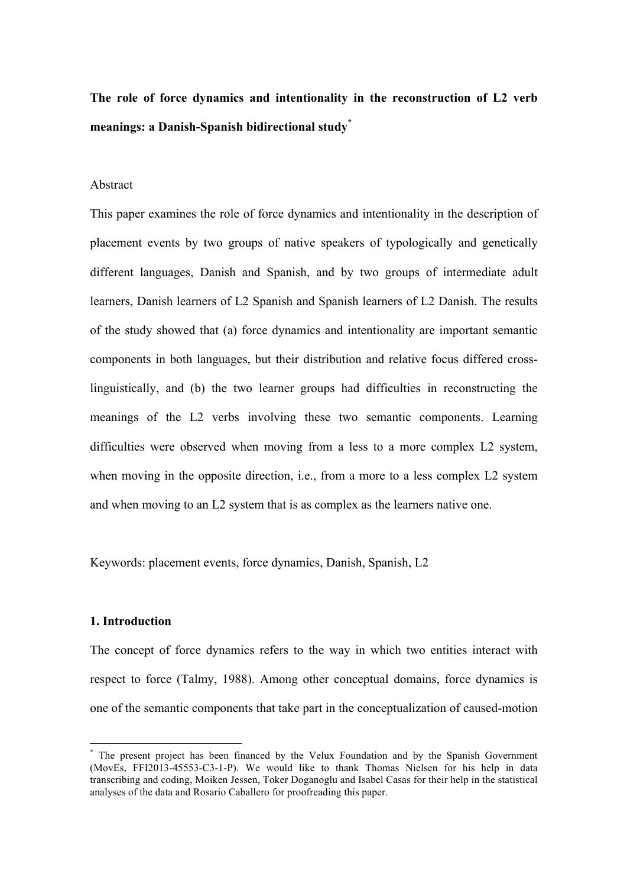**The role of force dynamics and intentionality in the reconstruction of L2 verb meanings: a Danish-Spanish bidirectional study\***

#### Abstract

This paper examines the role of force dynamics and intentionality in the description of placement events by two groups of native speakers of typologically and genetically different languages, Danish and Spanish, and by two groups of intermediate adult learners, Danish learners of L2 Spanish and Spanish learners of L2 Danish. The results of the study showed that (a) force dynamics and intentionality are important semantic components in both languages, but their distribution and relative focus differed crosslinguistically, and (b) the two learner groups had difficulties in reconstructing the meanings of the L2 verbs involving these two semantic components. Learning difficulties were observed when moving from a less to a more complex L2 system, when moving in the opposite direction, i.e., from a more to a less complex L2 system and when moving to an L2 system that is as complex as the learners native one.

Keywords: placement events, force dynamics, Danish, Spanish, L2

#### **1. Introduction**

The concept of force dynamics refers to the way in which two entities interact with respect to force (Talmy, 1988). Among other conceptual domains, force dynamics is one of the semantic components that take part in the conceptualization of caused-motion

 <sup>\*</sup> The present project has been financed by the Velux Foundation and by the Spanish Government (MovEs, FFI2013-45553-C3-1-P). We would like to thank Thomas Nielsen for his help in data transcribing and coding, Moiken Jessen, Toker Doganoglu and Isabel Casas for their help in the statistical analyses of the data and Rosario Caballero for proofreading this paper.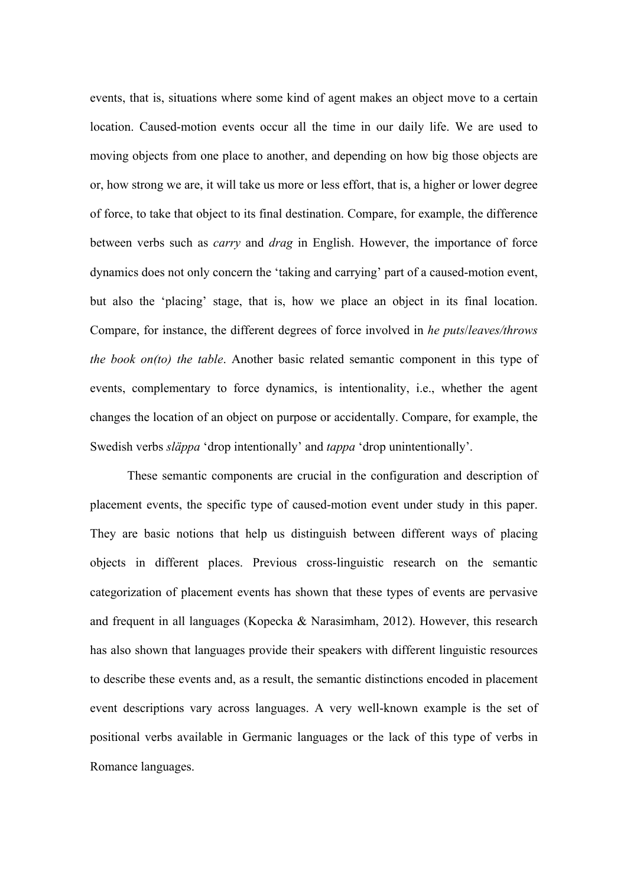events, that is, situations where some kind of agent makes an object move to a certain location. Caused-motion events occur all the time in our daily life. We are used to moving objects from one place to another, and depending on how big those objects are or, how strong we are, it will take us more or less effort, that is, a higher or lower degree of force, to take that object to its final destination. Compare, for example, the difference between verbs such as *carry* and *drag* in English. However, the importance of force dynamics does not only concern the 'taking and carrying' part of a caused-motion event, but also the 'placing' stage, that is, how we place an object in its final location. Compare, for instance, the different degrees of force involved in *he puts*/*leaves/throws the book on(to) the table*. Another basic related semantic component in this type of events, complementary to force dynamics, is intentionality, i.e., whether the agent changes the location of an object on purpose or accidentally. Compare, for example, the Swedish verbs *släppa* 'drop intentionally' and *tappa* 'drop unintentionally'.

These semantic components are crucial in the configuration and description of placement events, the specific type of caused-motion event under study in this paper. They are basic notions that help us distinguish between different ways of placing objects in different places. Previous cross-linguistic research on the semantic categorization of placement events has shown that these types of events are pervasive and frequent in all languages (Kopecka & Narasimham, 2012). However, this research has also shown that languages provide their speakers with different linguistic resources to describe these events and, as a result, the semantic distinctions encoded in placement event descriptions vary across languages. A very well-known example is the set of positional verbs available in Germanic languages or the lack of this type of verbs in Romance languages.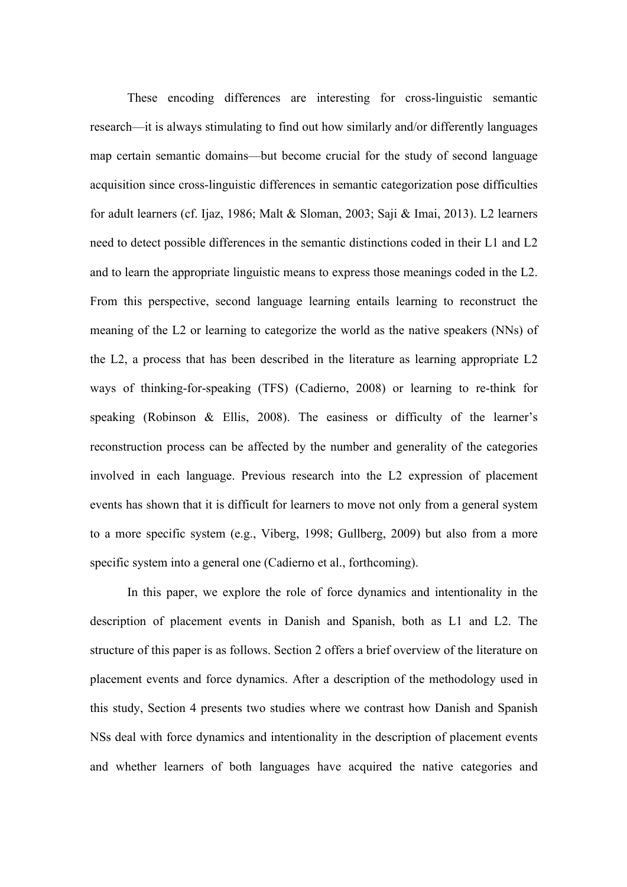These encoding differences are interesting for cross-linguistic semantic research—it is always stimulating to find out how similarly and/or differently languages map certain semantic domains—but become crucial for the study of second language acquisition since cross-linguistic differences in semantic categorization pose difficulties for adult learners (cf. Ijaz, 1986; Malt & Sloman, 2003; Saji & Imai, 2013). L2 learners need to detect possible differences in the semantic distinctions coded in their L1 and L2 and to learn the appropriate linguistic means to express those meanings coded in the L2. From this perspective, second language learning entails learning to reconstruct the meaning of the L2 or learning to categorize the world as the native speakers (NNs) of the L2, a process that has been described in the literature as learning appropriate L2 ways of thinking-for-speaking (TFS) (Cadierno, 2008) or learning to re-think for speaking (Robinson & Ellis, 2008). The easiness or difficulty of the learner's reconstruction process can be affected by the number and generality of the categories involved in each language. Previous research into the L2 expression of placement events has shown that it is difficult for learners to move not only from a general system to a more specific system (e.g., Viberg, 1998; Gullberg, 2009) but also from a more specific system into a general one (Cadierno et al., forthcoming).

In this paper, we explore the role of force dynamics and intentionality in the description of placement events in Danish and Spanish, both as L1 and L2. The structure of this paper is as follows. Section 2 offers a brief overview of the literature on placement events and force dynamics. After a description of the methodology used in this study, Section 4 presents two studies where we contrast how Danish and Spanish NSs deal with force dynamics and intentionality in the description of placement events and whether learners of both languages have acquired the native categories and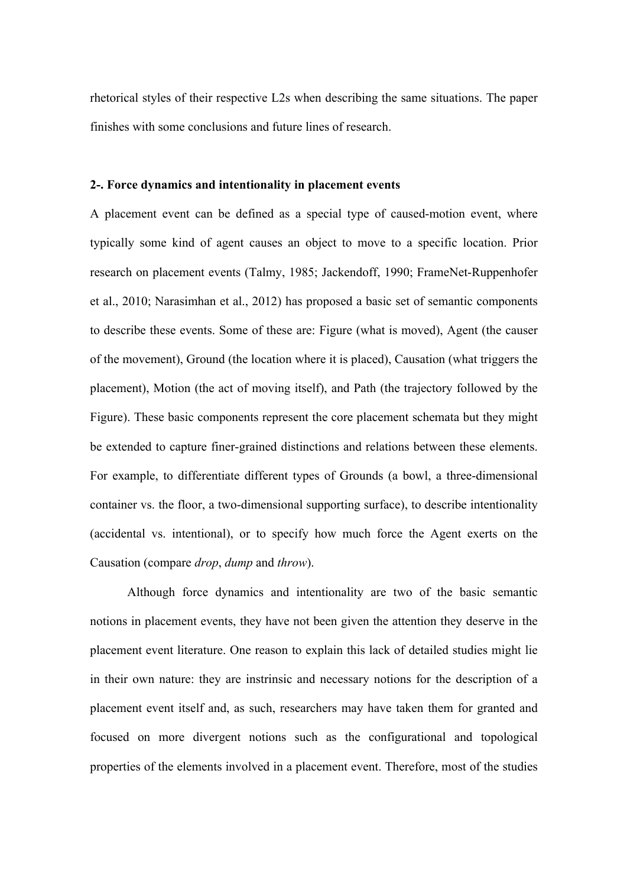rhetorical styles of their respective L2s when describing the same situations. The paper finishes with some conclusions and future lines of research.

## **2-. Force dynamics and intentionality in placement events**

A placement event can be defined as a special type of caused-motion event, where typically some kind of agent causes an object to move to a specific location. Prior research on placement events (Talmy, 1985; Jackendoff, 1990; FrameNet-Ruppenhofer et al., 2010; Narasimhan et al., 2012) has proposed a basic set of semantic components to describe these events. Some of these are: Figure (what is moved), Agent (the causer of the movement), Ground (the location where it is placed), Causation (what triggers the placement), Motion (the act of moving itself), and Path (the trajectory followed by the Figure). These basic components represent the core placement schemata but they might be extended to capture finer-grained distinctions and relations between these elements. For example, to differentiate different types of Grounds (a bowl, a three-dimensional container vs. the floor, a two-dimensional supporting surface), to describe intentionality (accidental vs. intentional), or to specify how much force the Agent exerts on the Causation (compare *drop*, *dump* and *throw*).

Although force dynamics and intentionality are two of the basic semantic notions in placement events, they have not been given the attention they deserve in the placement event literature. One reason to explain this lack of detailed studies might lie in their own nature: they are instrinsic and necessary notions for the description of a placement event itself and, as such, researchers may have taken them for granted and focused on more divergent notions such as the configurational and topological properties of the elements involved in a placement event. Therefore, most of the studies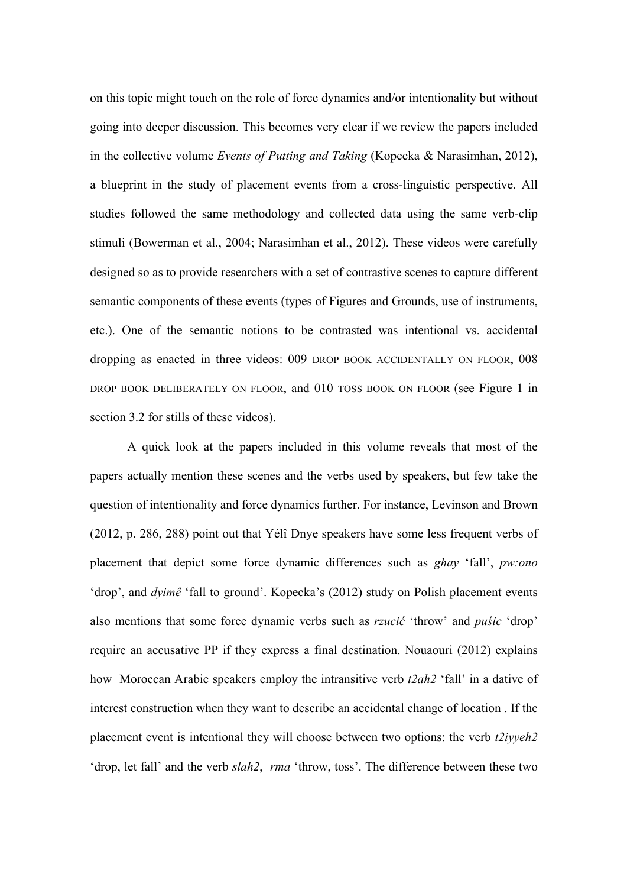on this topic might touch on the role of force dynamics and/or intentionality but without going into deeper discussion. This becomes very clear if we review the papers included in the collective volume *Events of Putting and Taking* (Kopecka & Narasimhan, 2012), a blueprint in the study of placement events from a cross-linguistic perspective. All studies followed the same methodology and collected data using the same verb-clip stimuli (Bowerman et al., 2004; Narasimhan et al., 2012). These videos were carefully designed so as to provide researchers with a set of contrastive scenes to capture different semantic components of these events (types of Figures and Grounds, use of instruments, etc.). One of the semantic notions to be contrasted was intentional vs. accidental dropping as enacted in three videos: 009 DROP BOOK ACCIDENTALLY ON FLOOR, 008 DROP BOOK DELIBERATELY ON FLOOR, and 010 TOSS BOOK ON FLOOR (see Figure 1 in section 3.2 for stills of these videos).

A quick look at the papers included in this volume reveals that most of the papers actually mention these scenes and the verbs used by speakers, but few take the question of intentionality and force dynamics further. For instance, Levinson and Brown (2012, p. 286, 288) point out that Yélî Dnye speakers have some less frequent verbs of placement that depict some force dynamic differences such as *ghay* 'fall', *pw:ono*  'drop', and *dyimê* 'fall to ground'. Kopecka's (2012) study on Polish placement events also mentions that some force dynamic verbs such as *rzucić* 'throw' and *puśic* 'drop' require an accusative PP if they express a final destination. Nouaouri (2012) explains how Moroccan Arabic speakers employ the intransitive verb *t2ah2* 'fall' in a dative of interest construction when they want to describe an accidental change of location . If the placement event is intentional they will choose between two options: the verb *t2iyyeh2* 'drop, let fall' and the verb *slah2*, *rma* 'throw, toss'. The difference between these two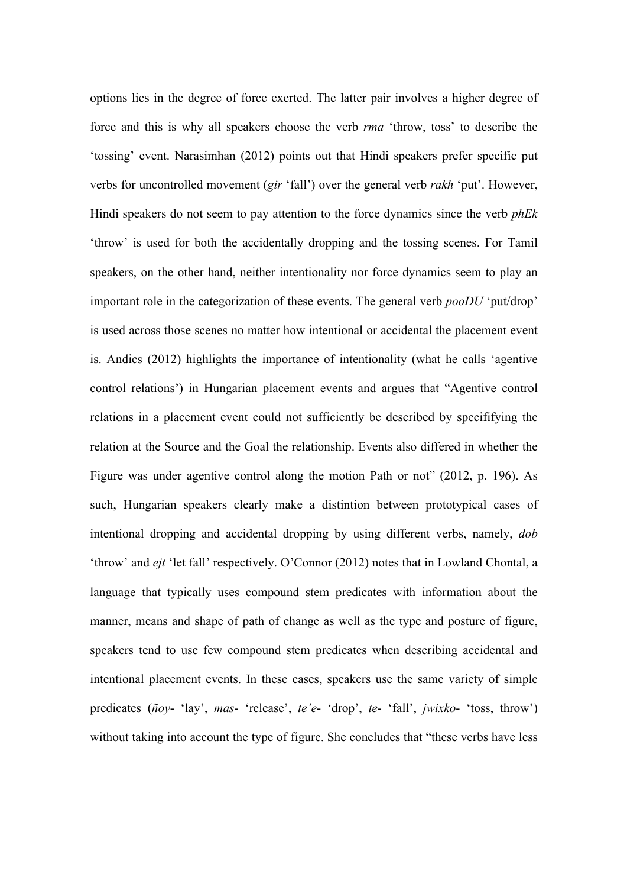options lies in the degree of force exerted. The latter pair involves a higher degree of force and this is why all speakers choose the verb *rma* 'throw, toss' to describe the 'tossing' event. Narasimhan (2012) points out that Hindi speakers prefer specific put verbs for uncontrolled movement (*gir* 'fall') over the general verb *rakh* 'put'. However, Hindi speakers do not seem to pay attention to the force dynamics since the verb *phEk*  'throw' is used for both the accidentally dropping and the tossing scenes. For Tamil speakers, on the other hand, neither intentionality nor force dynamics seem to play an important role in the categorization of these events. The general verb *pooDU* 'put/drop' is used across those scenes no matter how intentional or accidental the placement event is. Andics (2012) highlights the importance of intentionality (what he calls 'agentive control relations') in Hungarian placement events and argues that "Agentive control relations in a placement event could not sufficiently be described by specififying the relation at the Source and the Goal the relationship. Events also differed in whether the Figure was under agentive control along the motion Path or not" (2012, p. 196). As such, Hungarian speakers clearly make a distintion between prototypical cases of intentional dropping and accidental dropping by using different verbs, namely, *dob*  'throw' and *ejt* 'let fall' respectively. O'Connor (2012) notes that in Lowland Chontal, a language that typically uses compound stem predicates with information about the manner, means and shape of path of change as well as the type and posture of figure, speakers tend to use few compound stem predicates when describing accidental and intentional placement events. In these cases, speakers use the same variety of simple predicates (*ñoy*- 'lay', *mas*- 'release', *te'e*- 'drop', *te*- 'fall', *jwixko*- 'toss, throw') without taking into account the type of figure. She concludes that "these verbs have less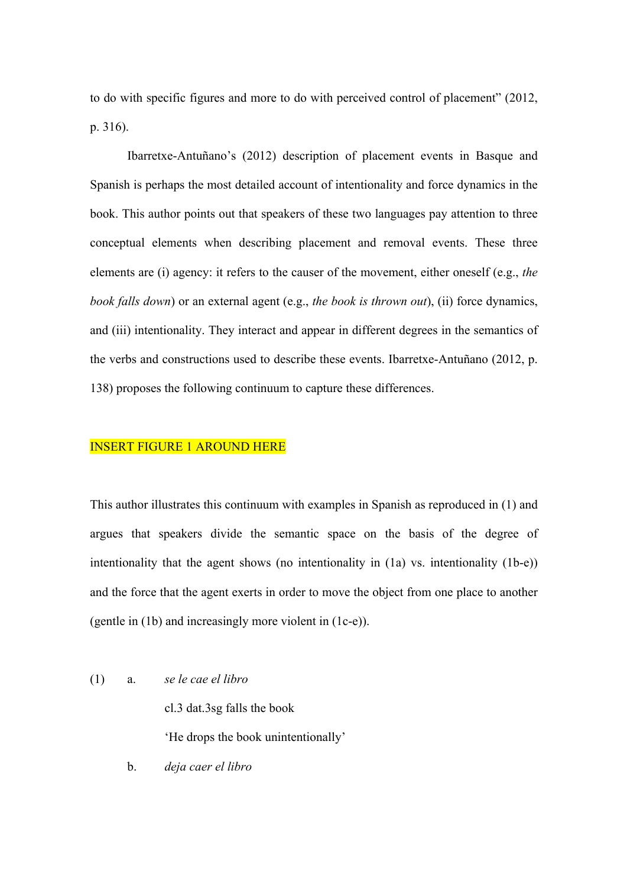to do with specific figures and more to do with perceived control of placement" (2012, p. 316).

Ibarretxe-Antuñano's (2012) description of placement events in Basque and Spanish is perhaps the most detailed account of intentionality and force dynamics in the book. This author points out that speakers of these two languages pay attention to three conceptual elements when describing placement and removal events. These three elements are (i) agency: it refers to the causer of the movement, either oneself (e.g., *the book falls down*) or an external agent (e.g., *the book is thrown out*), (ii) force dynamics, and (iii) intentionality. They interact and appear in different degrees in the semantics of the verbs and constructions used to describe these events. Ibarretxe-Antuñano (2012, p. 138) proposes the following continuum to capture these differences.

## INSERT FIGURE 1 AROUND HERE

This author illustrates this continuum with examples in Spanish as reproduced in (1) and argues that speakers divide the semantic space on the basis of the degree of intentionality that the agent shows (no intentionality in (1a) vs. intentionality (1b-e)) and the force that the agent exerts in order to move the object from one place to another (gentle in (1b) and increasingly more violent in (1c-e)).

(1) a. *se le cae el libro*

cl.3 dat.3sg falls the book

'He drops the book unintentionally'

b. *deja caer el libro*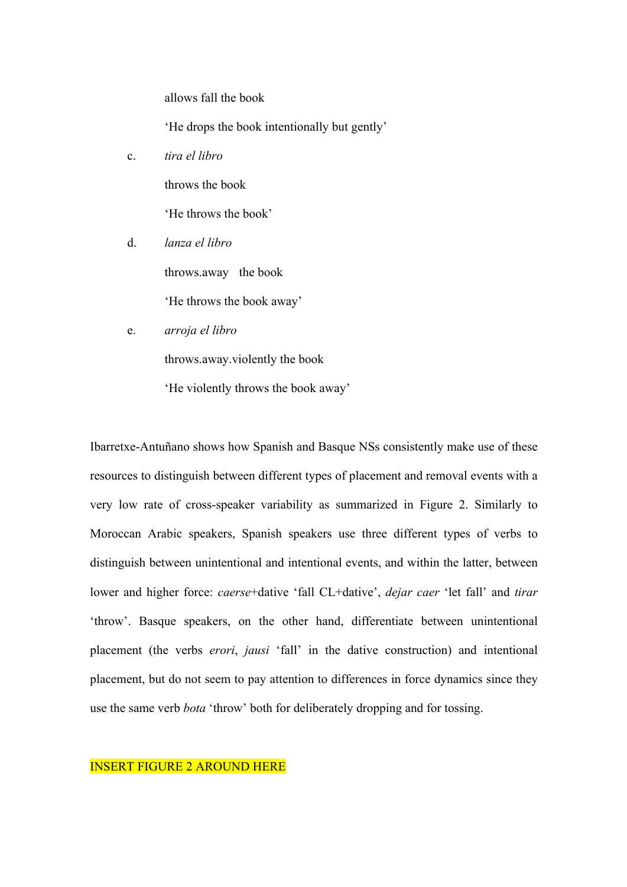allows fall the book

'He drops the book intentionally but gently'

c. *tira el libro*

throws the book

'He throws the book'

d. *lanza el libro*

throws.away the book

'He throws the book away'

e. *arroja el libro*

throws.away.violently the book

'He violently throws the book away'

Ibarretxe-Antuñano shows how Spanish and Basque NSs consistently make use of these resources to distinguish between different types of placement and removal events with a very low rate of cross-speaker variability as summarized in Figure 2. Similarly to Moroccan Arabic speakers, Spanish speakers use three different types of verbs to distinguish between unintentional and intentional events, and within the latter, between lower and higher force: *caerse*+dative 'fall CL+dative', *dejar caer* 'let fall' and *tirar* 'throw'. Basque speakers, on the other hand, differentiate between unintentional placement (the verbs *erori*, *jausi* 'fall' in the dative construction) and intentional placement, but do not seem to pay attention to differences in force dynamics since they use the same verb *bota* 'throw' both for deliberately dropping and for tossing.

## INSERT FIGURE 2 AROUND HERE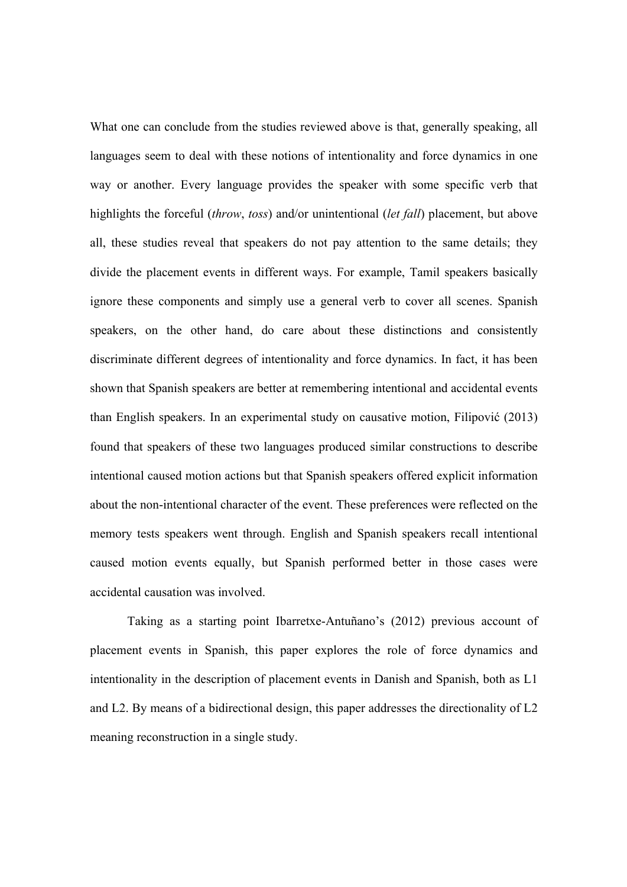What one can conclude from the studies reviewed above is that, generally speaking, all languages seem to deal with these notions of intentionality and force dynamics in one way or another. Every language provides the speaker with some specific verb that highlights the forceful (*throw*, *toss*) and/or unintentional (*let fall*) placement, but above all, these studies reveal that speakers do not pay attention to the same details; they divide the placement events in different ways. For example, Tamil speakers basically ignore these components and simply use a general verb to cover all scenes. Spanish speakers, on the other hand, do care about these distinctions and consistently discriminate different degrees of intentionality and force dynamics. In fact, it has been shown that Spanish speakers are better at remembering intentional and accidental events than English speakers. In an experimental study on causative motion, Filipović (2013) found that speakers of these two languages produced similar constructions to describe intentional caused motion actions but that Spanish speakers offered explicit information about the non-intentional character of the event. These preferences were reflected on the memory tests speakers went through. English and Spanish speakers recall intentional caused motion events equally, but Spanish performed better in those cases were accidental causation was involved.

Taking as a starting point Ibarretxe-Antuñano's (2012) previous account of placement events in Spanish, this paper explores the role of force dynamics and intentionality in the description of placement events in Danish and Spanish, both as L1 and L2. By means of a bidirectional design, this paper addresses the directionality of L2 meaning reconstruction in a single study.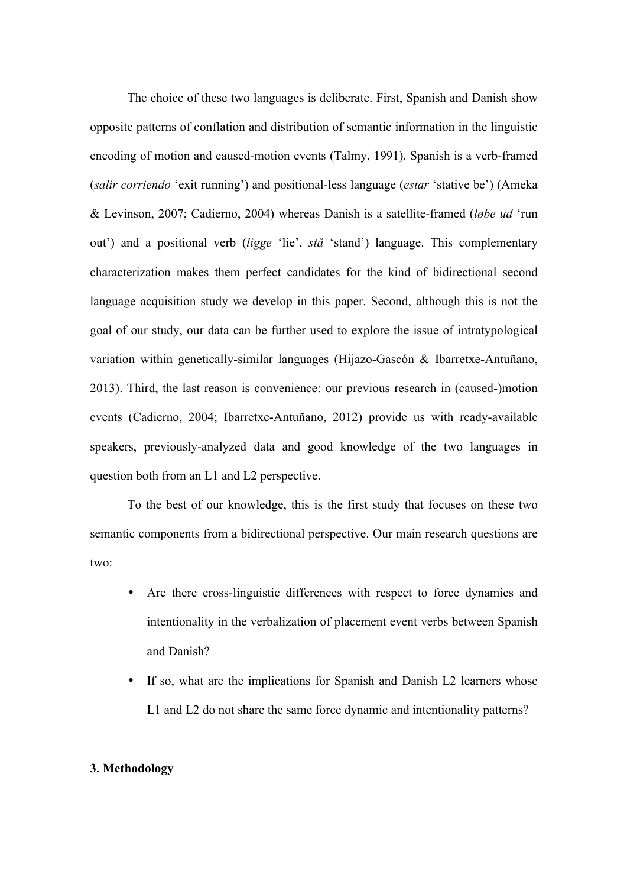The choice of these two languages is deliberate. First, Spanish and Danish show opposite patterns of conflation and distribution of semantic information in the linguistic encoding of motion and caused-motion events (Talmy, 1991). Spanish is a verb-framed (*salir corriendo* 'exit running') and positional-less language (*estar* 'stative be') (Ameka & Levinson, 2007; Cadierno, 2004) whereas Danish is a satellite-framed (*løbe ud* 'run out') and a positional verb (*ligge* 'lie', *stå* 'stand') language. This complementary characterization makes them perfect candidates for the kind of bidirectional second language acquisition study we develop in this paper. Second, although this is not the goal of our study, our data can be further used to explore the issue of intratypological variation within genetically-similar languages (Hijazo-Gascón & Ibarretxe-Antuñano, 2013). Third, the last reason is convenience: our previous research in (caused-)motion events (Cadierno, 2004; Ibarretxe-Antuñano, 2012) provide us with ready-available speakers, previously-analyzed data and good knowledge of the two languages in question both from an L1 and L2 perspective.

To the best of our knowledge, this is the first study that focuses on these two semantic components from a bidirectional perspective. Our main research questions are two:

- Are there cross-linguistic differences with respect to force dynamics and intentionality in the verbalization of placement event verbs between Spanish and Danish?
- If so, what are the implications for Spanish and Danish L2 learners whose L1 and L2 do not share the same force dynamic and intentionality patterns?

## **3. Methodology**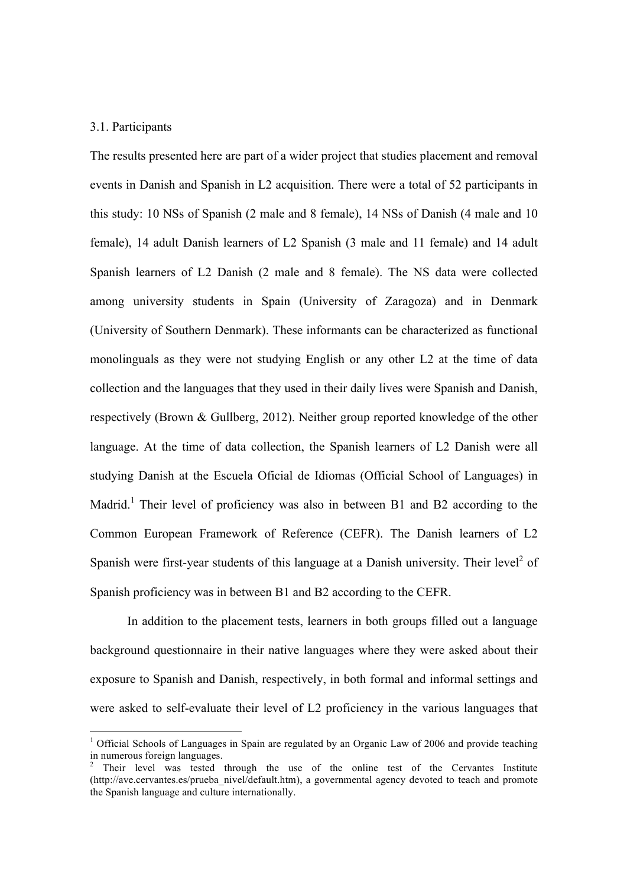### 3.1. Participants

The results presented here are part of a wider project that studies placement and removal events in Danish and Spanish in L2 acquisition. There were a total of 52 participants in this study: 10 NSs of Spanish (2 male and 8 female), 14 NSs of Danish (4 male and 10 female), 14 adult Danish learners of L2 Spanish (3 male and 11 female) and 14 adult Spanish learners of L2 Danish (2 male and 8 female). The NS data were collected among university students in Spain (University of Zaragoza) and in Denmark (University of Southern Denmark). These informants can be characterized as functional monolinguals as they were not studying English or any other L2 at the time of data collection and the languages that they used in their daily lives were Spanish and Danish, respectively (Brown & Gullberg, 2012). Neither group reported knowledge of the other language. At the time of data collection, the Spanish learners of L2 Danish were all studying Danish at the Escuela Oficial de Idiomas (Official School of Languages) in Madrid.<sup>1</sup> Their level of proficiency was also in between B1 and B2 according to the Common European Framework of Reference (CEFR). The Danish learners of L2 Spanish were first-year students of this language at a Danish university. Their level<sup>2</sup> of Spanish proficiency was in between B1 and B2 according to the CEFR.

In addition to the placement tests, learners in both groups filled out a language background questionnaire in their native languages where they were asked about their exposure to Spanish and Danish, respectively, in both formal and informal settings and were asked to self-evaluate their level of L2 proficiency in the various languages that

<sup>&</sup>lt;sup>1</sup> Official Schools of Languages in Spain are regulated by an Organic Law of 2006 and provide teaching in numerous foreign languages.

<sup>2</sup> Their level was tested through the use of the online test of the Cervantes Institute (http://ave.cervantes.es/prueba\_nivel/default.htm), a governmental agency devoted to teach and promote the Spanish language and culture internationally.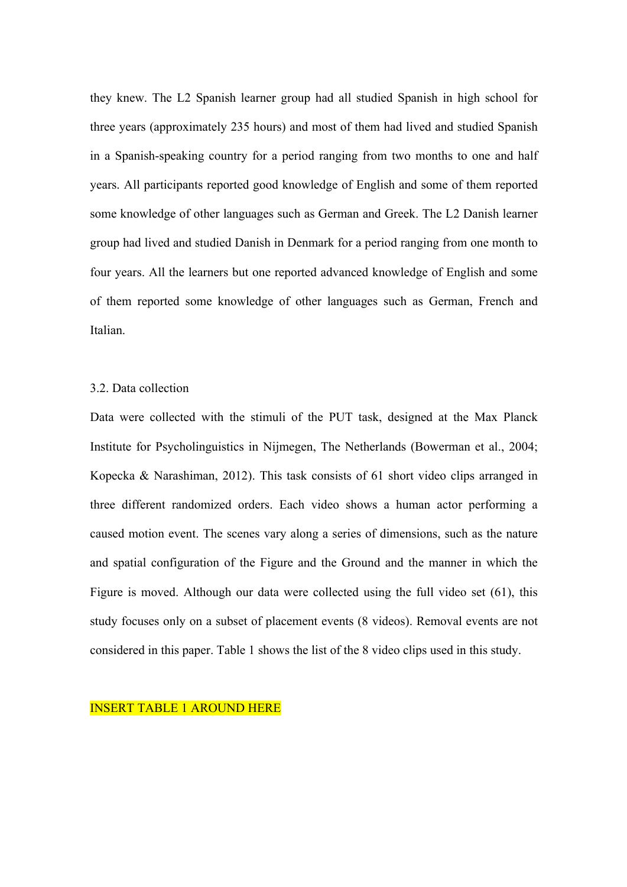they knew. The L2 Spanish learner group had all studied Spanish in high school for three years (approximately 235 hours) and most of them had lived and studied Spanish in a Spanish-speaking country for a period ranging from two months to one and half years. All participants reported good knowledge of English and some of them reported some knowledge of other languages such as German and Greek. The L2 Danish learner group had lived and studied Danish in Denmark for a period ranging from one month to four years. All the learners but one reported advanced knowledge of English and some of them reported some knowledge of other languages such as German, French and Italian.

## 3.2. Data collection

Data were collected with the stimuli of the PUT task, designed at the Max Planck Institute for Psycholinguistics in Nijmegen, The Netherlands (Bowerman et al., 2004; Kopecka & Narashiman, 2012). This task consists of 61 short video clips arranged in three different randomized orders. Each video shows a human actor performing a caused motion event. The scenes vary along a series of dimensions, such as the nature and spatial configuration of the Figure and the Ground and the manner in which the Figure is moved. Although our data were collected using the full video set (61), this study focuses only on a subset of placement events (8 videos). Removal events are not considered in this paper. Table 1 shows the list of the 8 video clips used in this study.

## INSERT TABLE 1 AROUND HERE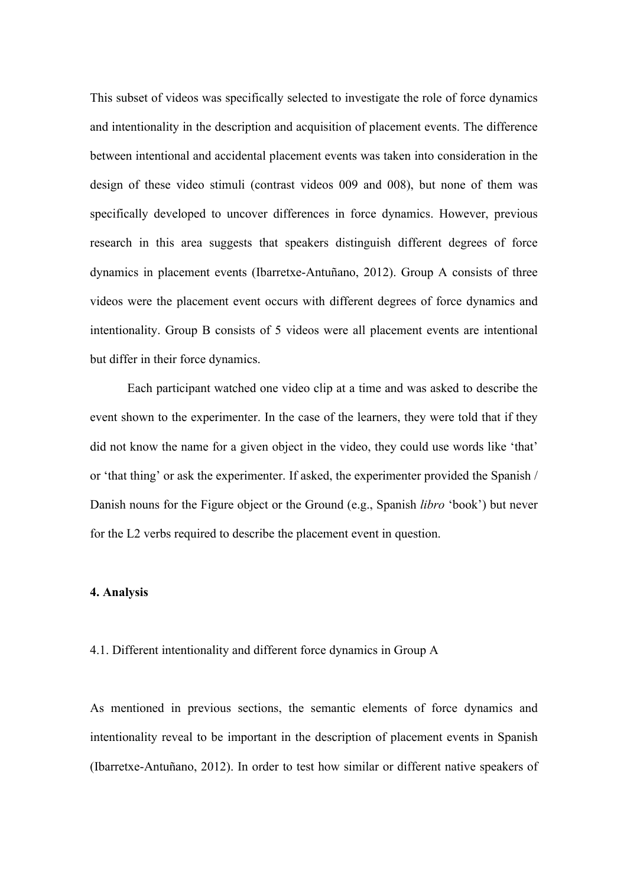This subset of videos was specifically selected to investigate the role of force dynamics and intentionality in the description and acquisition of placement events. The difference between intentional and accidental placement events was taken into consideration in the design of these video stimuli (contrast videos 009 and 008), but none of them was specifically developed to uncover differences in force dynamics. However, previous research in this area suggests that speakers distinguish different degrees of force dynamics in placement events (Ibarretxe-Antuñano, 2012). Group A consists of three videos were the placement event occurs with different degrees of force dynamics and intentionality. Group B consists of 5 videos were all placement events are intentional but differ in their force dynamics.

Each participant watched one video clip at a time and was asked to describe the event shown to the experimenter. In the case of the learners, they were told that if they did not know the name for a given object in the video, they could use words like 'that' or 'that thing' or ask the experimenter. If asked, the experimenter provided the Spanish / Danish nouns for the Figure object or the Ground (e.g., Spanish *libro* 'book') but never for the L2 verbs required to describe the placement event in question.

## **4. Analysis**

#### 4.1. Different intentionality and different force dynamics in Group A

As mentioned in previous sections, the semantic elements of force dynamics and intentionality reveal to be important in the description of placement events in Spanish (Ibarretxe-Antuñano, 2012). In order to test how similar or different native speakers of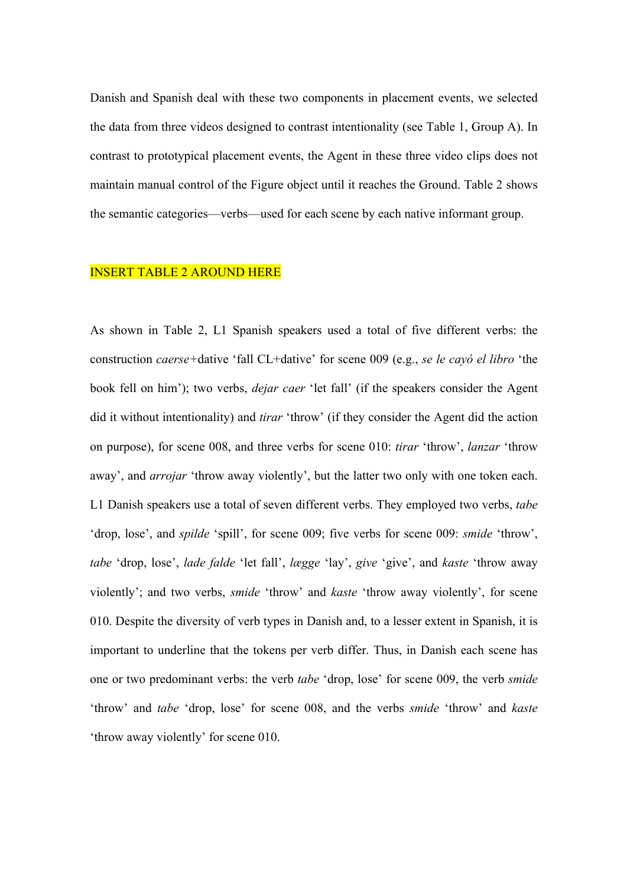Danish and Spanish deal with these two components in placement events, we selected the data from three videos designed to contrast intentionality (see Table 1, Group A). In contrast to prototypical placement events, the Agent in these three video clips does not maintain manual control of the Figure object until it reaches the Ground. Table 2 shows the semantic categories—verbs—used for each scene by each native informant group.

### INSERT TABLE 2 AROUND HERE

As shown in Table 2, L1 Spanish speakers used a total of five different verbs: the construction *caerse+*dative 'fall CL+dative' for scene 009 (e.g., *se le cayó el libro* 'the book fell on him'); two verbs, *dejar caer* 'let fall' (if the speakers consider the Agent did it without intentionality) and *tirar* 'throw' (if they consider the Agent did the action on purpose), for scene 008, and three verbs for scene 010: *tirar* 'throw', *lanzar* 'throw away', and *arrojar* 'throw away violently', but the latter two only with one token each. L1 Danish speakers use a total of seven different verbs. They employed two verbs, *tabe* 'drop, lose', and *spilde* 'spill', for scene 009; five verbs for scene 009: *smide* 'throw', *tabe* 'drop, lose', *lade falde* 'let fall', *lægge* 'lay', *give* 'give', and *kaste* 'throw away violently'; and two verbs, *smide* 'throw' and *kaste* 'throw away violently', for scene 010. Despite the diversity of verb types in Danish and, to a lesser extent in Spanish, it is important to underline that the tokens per verb differ. Thus, in Danish each scene has one or two predominant verbs: the verb *tabe* 'drop, lose' for scene 009, the verb *smide* 'throw' and *tabe* 'drop, lose' for scene 008, and the verbs *smide* 'throw' and *kaste* 'throw away violently' for scene 010.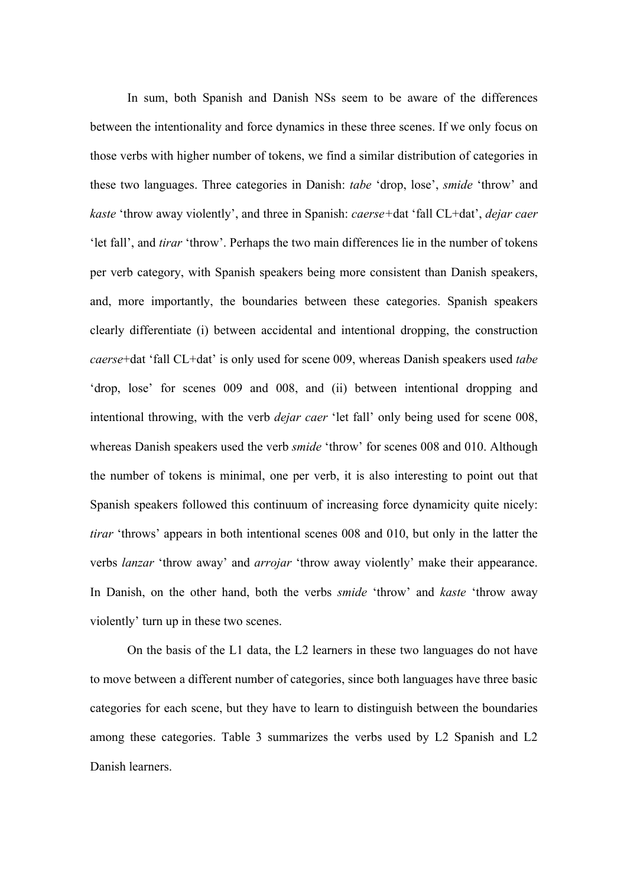In sum, both Spanish and Danish NSs seem to be aware of the differences between the intentionality and force dynamics in these three scenes. If we only focus on those verbs with higher number of tokens, we find a similar distribution of categories in these two languages. Three categories in Danish: *tabe* 'drop, lose', *smide* 'throw' and *kaste* 'throw away violently', and three in Spanish: *caerse+*dat 'fall CL+dat', *dejar caer* 'let fall', and *tirar* 'throw'. Perhaps the two main differences lie in the number of tokens per verb category, with Spanish speakers being more consistent than Danish speakers, and, more importantly, the boundaries between these categories. Spanish speakers clearly differentiate (i) between accidental and intentional dropping, the construction *caerse*+dat 'fall CL+dat' is only used for scene 009, whereas Danish speakers used *tabe* 'drop, lose' for scenes 009 and 008, and (ii) between intentional dropping and intentional throwing, with the verb *dejar caer* 'let fall' only being used for scene 008, whereas Danish speakers used the verb *smide* 'throw' for scenes 008 and 010. Although the number of tokens is minimal, one per verb, it is also interesting to point out that Spanish speakers followed this continuum of increasing force dynamicity quite nicely: *tirar* 'throws' appears in both intentional scenes 008 and 010, but only in the latter the verbs *lanzar* 'throw away' and *arrojar* 'throw away violently' make their appearance. In Danish, on the other hand, both the verbs *smide* 'throw' and *kaste* 'throw away violently' turn up in these two scenes.

On the basis of the L1 data, the L2 learners in these two languages do not have to move between a different number of categories, since both languages have three basic categories for each scene, but they have to learn to distinguish between the boundaries among these categories. Table 3 summarizes the verbs used by L2 Spanish and L2 Danish learners.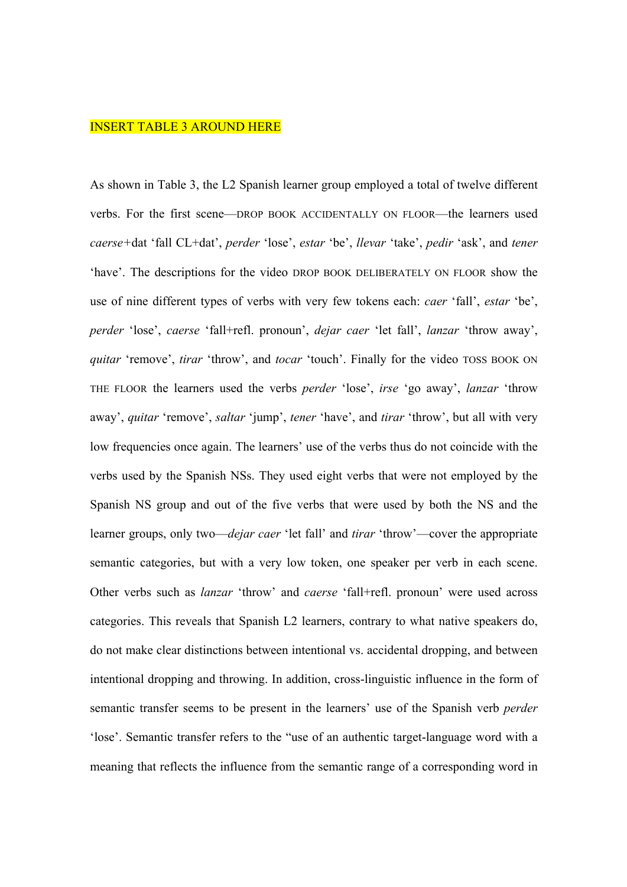## INSERT TABLE 3 AROUND HERE

As shown in Table 3, the L2 Spanish learner group employed a total of twelve different verbs. For the first scene—DROP BOOK ACCIDENTALLY ON FLOOR—the learners used *caerse+*dat 'fall CL+dat', *perder* 'lose', *estar* 'be', *llevar* 'take', *pedir* 'ask', and *tener* 'have'. The descriptions for the video DROP BOOK DELIBERATELY ON FLOOR show the use of nine different types of verbs with very few tokens each: *caer* 'fall', *estar* 'be', *perder* 'lose', *caerse* 'fall+refl. pronoun', *dejar caer* 'let fall', *lanzar* 'throw away', *quitar* 'remove', *tirar* 'throw', and *tocar* 'touch'. Finally for the video TOSS BOOK ON THE FLOOR the learners used the verbs *perder* 'lose', *irse* 'go away', *lanzar* 'throw away', *quitar* 'remove', *saltar* 'jump', *tener* 'have', and *tirar* 'throw', but all with very low frequencies once again. The learners' use of the verbs thus do not coincide with the verbs used by the Spanish NSs. They used eight verbs that were not employed by the Spanish NS group and out of the five verbs that were used by both the NS and the learner groups, only two—*dejar caer* 'let fall' and *tirar* 'throw'—cover the appropriate semantic categories, but with a very low token, one speaker per verb in each scene. Other verbs such as *lanzar* 'throw' and *caerse* 'fall+refl. pronoun' were used across categories. This reveals that Spanish L2 learners, contrary to what native speakers do, do not make clear distinctions between intentional vs. accidental dropping, and between intentional dropping and throwing. In addition, cross-linguistic influence in the form of semantic transfer seems to be present in the learners' use of the Spanish verb *perder* 'lose'. Semantic transfer refers to the "use of an authentic target-language word with a meaning that reflects the influence from the semantic range of a corresponding word in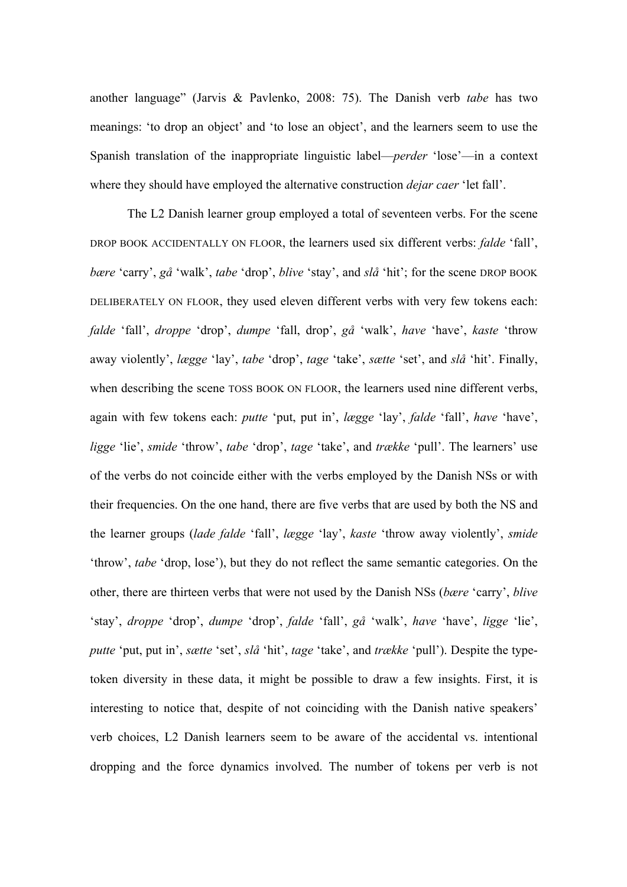another language" (Jarvis & Pavlenko, 2008: 75). The Danish verb *tabe* has two meanings: 'to drop an object' and 'to lose an object', and the learners seem to use the Spanish translation of the inappropriate linguistic label—*perder* 'lose'—in a context where they should have employed the alternative construction *dejar caer* 'let fall'.

The L2 Danish learner group employed a total of seventeen verbs. For the scene DROP BOOK ACCIDENTALLY ON FLOOR, the learners used six different verbs: *falde* 'fall', *bære* 'carry', *gå* 'walk', *tabe* 'drop', *blive* 'stay', and *slå* 'hit'; for the scene DROP BOOK DELIBERATELY ON FLOOR, they used eleven different verbs with very few tokens each: *falde* 'fall', *droppe* 'drop', *dumpe* 'fall, drop', *gå* 'walk', *have* 'have', *kaste* 'throw away violently', *lægge* 'lay', *tabe* 'drop', *tage* 'take', *sætte* 'set', and *slå* 'hit'. Finally, when describing the scene TOSS BOOK ON FLOOR, the learners used nine different verbs, again with few tokens each: *putte* 'put, put in', *lægge* 'lay', *falde* 'fall', *have* 'have', *ligge* 'lie', *smide* 'throw', *tabe* 'drop', *tage* 'take', and *trække* 'pull'. The learners' use of the verbs do not coincide either with the verbs employed by the Danish NSs or with their frequencies. On the one hand, there are five verbs that are used by both the NS and the learner groups (*lade falde* 'fall', *lægge* 'lay', *kaste* 'throw away violently', *smide* 'throw', *tabe* 'drop, lose'), but they do not reflect the same semantic categories. On the other, there are thirteen verbs that were not used by the Danish NSs (*bære* 'carry', *blive* 'stay', *droppe* 'drop', *dumpe* 'drop', *falde* 'fall', *gå* 'walk', *have* 'have', *ligge* 'lie', *putte* 'put, put in', *sætte* 'set', *slå* 'hit', *tage* 'take', and *trække* 'pull'). Despite the typetoken diversity in these data, it might be possible to draw a few insights. First, it is interesting to notice that, despite of not coinciding with the Danish native speakers' verb choices, L2 Danish learners seem to be aware of the accidental vs. intentional dropping and the force dynamics involved. The number of tokens per verb is not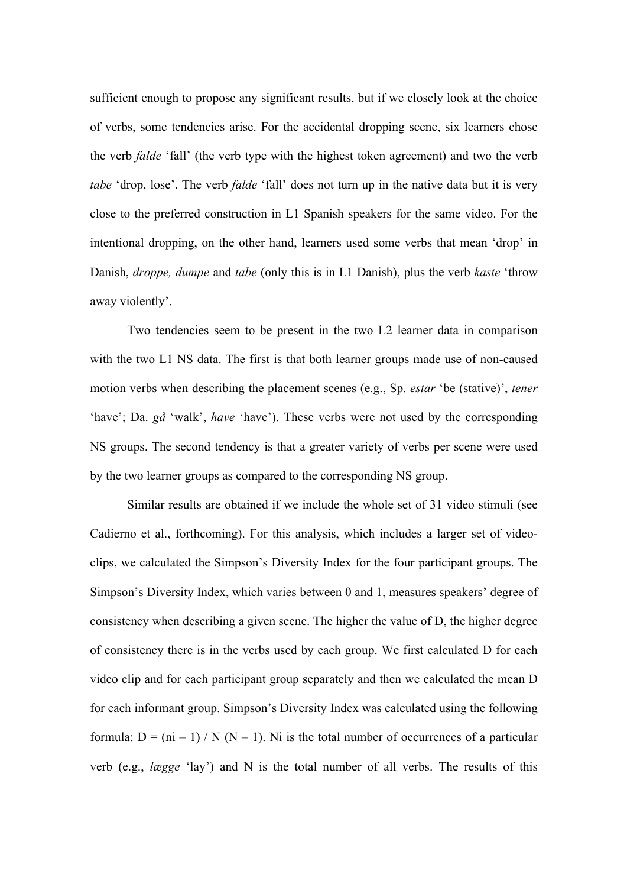sufficient enough to propose any significant results, but if we closely look at the choice of verbs, some tendencies arise. For the accidental dropping scene, six learners chose the verb *falde* 'fall' (the verb type with the highest token agreement) and two the verb *tabe* 'drop, lose'. The verb *falde* 'fall' does not turn up in the native data but it is very close to the preferred construction in L1 Spanish speakers for the same video. For the intentional dropping, on the other hand, learners used some verbs that mean 'drop' in Danish, *droppe, dumpe* and *tabe* (only this is in L1 Danish), plus the verb *kaste* 'throw away violently'.

Two tendencies seem to be present in the two L2 learner data in comparison with the two L1 NS data. The first is that both learner groups made use of non-caused motion verbs when describing the placement scenes (e.g., Sp. *estar* 'be (stative)', *tener* 'have'; Da. *gå* 'walk', *have* 'have'). These verbs were not used by the corresponding NS groups. The second tendency is that a greater variety of verbs per scene were used by the two learner groups as compared to the corresponding NS group.

Similar results are obtained if we include the whole set of 31 video stimuli (see Cadierno et al., forthcoming). For this analysis, which includes a larger set of videoclips, we calculated the Simpson's Diversity Index for the four participant groups. The Simpson's Diversity Index, which varies between 0 and 1, measures speakers' degree of consistency when describing a given scene. The higher the value of D, the higher degree of consistency there is in the verbs used by each group. We first calculated D for each video clip and for each participant group separately and then we calculated the mean D for each informant group. Simpson's Diversity Index was calculated using the following formula:  $D = (ni - 1) / N (N - 1)$ . Ni is the total number of occurrences of a particular verb (e.g., *lægge* 'lay') and N is the total number of all verbs. The results of this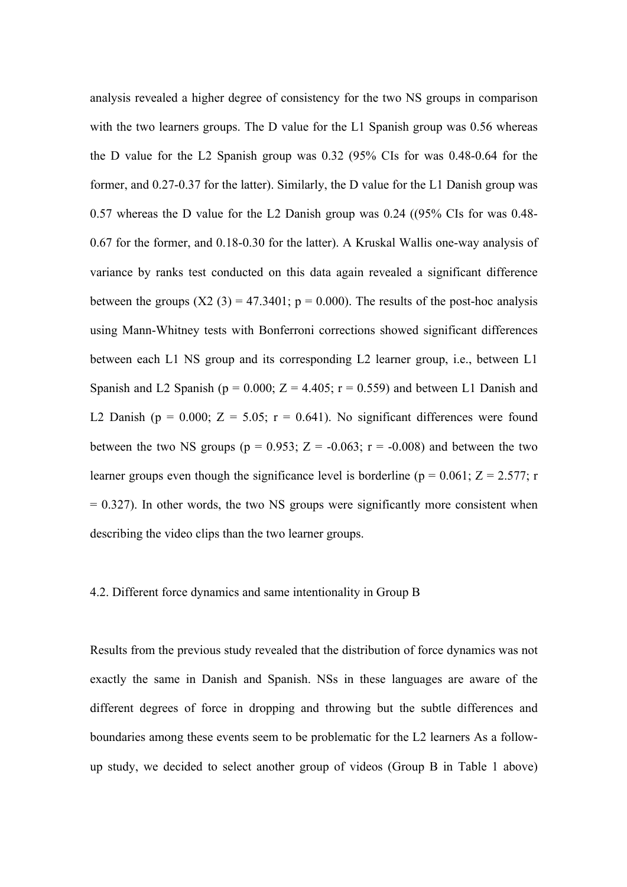analysis revealed a higher degree of consistency for the two NS groups in comparison with the two learners groups. The D value for the L1 Spanish group was 0.56 whereas the D value for the L2 Spanish group was 0.32 (95% CIs for was 0.48-0.64 for the former, and 0.27-0.37 for the latter). Similarly, the D value for the L1 Danish group was 0.57 whereas the D value for the L2 Danish group was 0.24 ((95% CIs for was 0.48- 0.67 for the former, and 0.18-0.30 for the latter). A Kruskal Wallis one-way analysis of variance by ranks test conducted on this data again revealed a significant difference between the groups  $(X2 (3) = 47.3401$ ;  $p = 0.000$ ). The results of the post-hoc analysis using Mann-Whitney tests with Bonferroni corrections showed significant differences between each L1 NS group and its corresponding L2 learner group, i.e., between L1 Spanish and L2 Spanish ( $p = 0.000$ ;  $Z = 4.405$ ;  $r = 0.559$ ) and between L1 Danish and L2 Danish ( $p = 0.000$ ;  $Z = 5.05$ ;  $r = 0.641$ ). No significant differences were found between the two NS groups ( $p = 0.953$ ;  $Z = -0.063$ ;  $r = -0.008$ ) and between the two learner groups even though the significance level is borderline ( $p = 0.061$ ;  $Z = 2.577$ ; r  $= 0.327$ ). In other words, the two NS groups were significantly more consistent when describing the video clips than the two learner groups.

### 4.2. Different force dynamics and same intentionality in Group B

Results from the previous study revealed that the distribution of force dynamics was not exactly the same in Danish and Spanish. NSs in these languages are aware of the different degrees of force in dropping and throwing but the subtle differences and boundaries among these events seem to be problematic for the L2 learners As a followup study, we decided to select another group of videos (Group B in Table 1 above)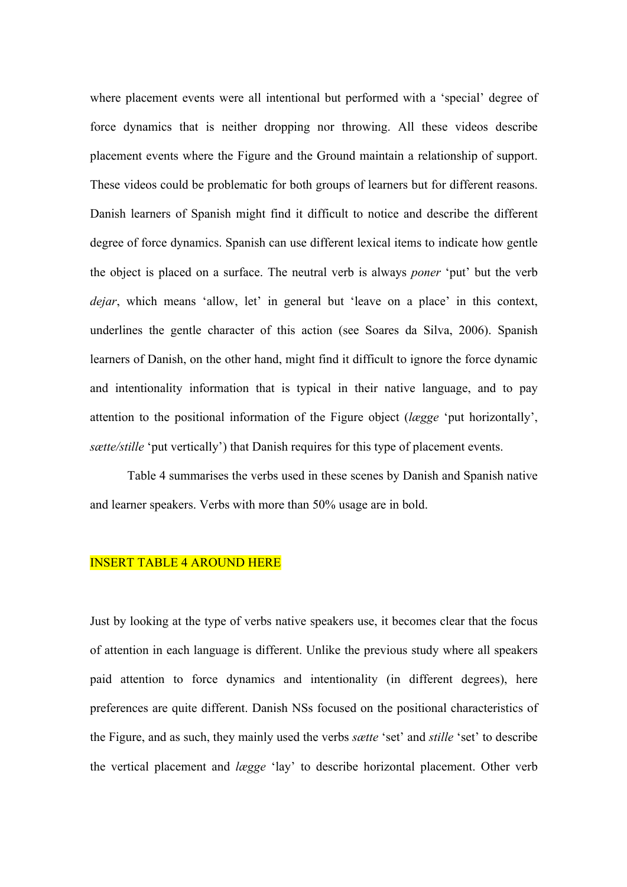where placement events were all intentional but performed with a 'special' degree of force dynamics that is neither dropping nor throwing. All these videos describe placement events where the Figure and the Ground maintain a relationship of support. These videos could be problematic for both groups of learners but for different reasons. Danish learners of Spanish might find it difficult to notice and describe the different degree of force dynamics. Spanish can use different lexical items to indicate how gentle the object is placed on a surface. The neutral verb is always *poner* 'put' but the verb *dejar*, which means 'allow, let' in general but 'leave on a place' in this context, underlines the gentle character of this action (see Soares da Silva, 2006). Spanish learners of Danish, on the other hand, might find it difficult to ignore the force dynamic and intentionality information that is typical in their native language, and to pay attention to the positional information of the Figure object (*lægge* 'put horizontally', *sætte/stille* 'put vertically') that Danish requires for this type of placement events.

Table 4 summarises the verbs used in these scenes by Danish and Spanish native and learner speakers. Verbs with more than 50% usage are in bold.

### INSERT TABLE 4 AROUND HERE

Just by looking at the type of verbs native speakers use, it becomes clear that the focus of attention in each language is different. Unlike the previous study where all speakers paid attention to force dynamics and intentionality (in different degrees), here preferences are quite different. Danish NSs focused on the positional characteristics of the Figure, and as such, they mainly used the verbs *sætte* 'set' and *stille* 'set' to describe the vertical placement and *lægge* 'lay' to describe horizontal placement. Other verb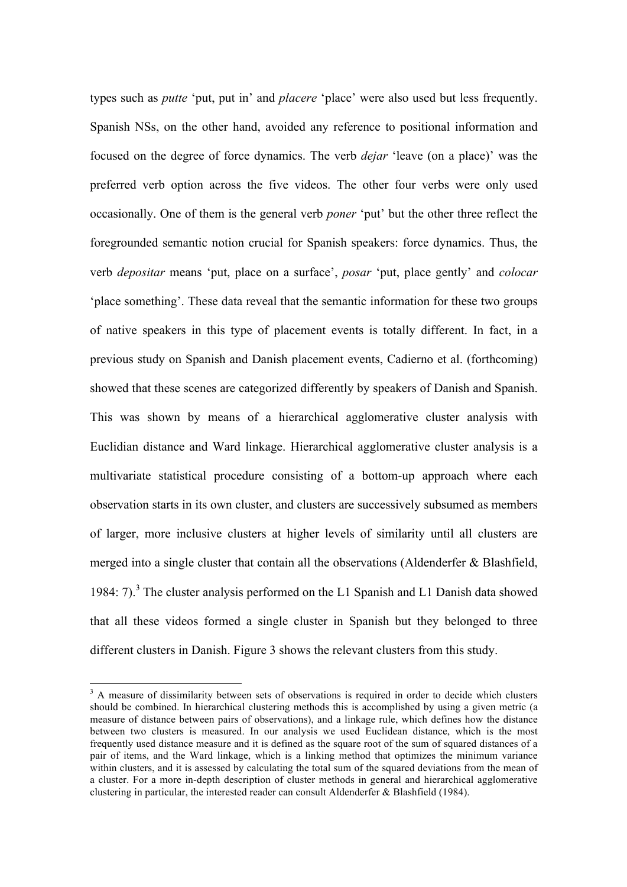types such as *putte* 'put, put in' and *placere* 'place' were also used but less frequently. Spanish NSs, on the other hand, avoided any reference to positional information and focused on the degree of force dynamics. The verb *dejar* 'leave (on a place)' was the preferred verb option across the five videos. The other four verbs were only used occasionally. One of them is the general verb *poner* 'put' but the other three reflect the foregrounded semantic notion crucial for Spanish speakers: force dynamics. Thus, the verb *depositar* means 'put, place on a surface', *posar* 'put, place gently' and *colocar*  'place something'. These data reveal that the semantic information for these two groups of native speakers in this type of placement events is totally different. In fact, in a previous study on Spanish and Danish placement events, Cadierno et al. (forthcoming) showed that these scenes are categorized differently by speakers of Danish and Spanish. This was shown by means of a hierarchical agglomerative cluster analysis with Euclidian distance and Ward linkage. Hierarchical agglomerative cluster analysis is a multivariate statistical procedure consisting of a bottom-up approach where each observation starts in its own cluster, and clusters are successively subsumed as members of larger, more inclusive clusters at higher levels of similarity until all clusters are merged into a single cluster that contain all the observations (Aldenderfer & Blashfield, 1984: 7).<sup>3</sup> The cluster analysis performed on the L1 Spanish and L1 Danish data showed that all these videos formed a single cluster in Spanish but they belonged to three different clusters in Danish. Figure 3 shows the relevant clusters from this study.

<sup>&</sup>lt;sup>3</sup> A measure of dissimilarity between sets of observations is required in order to decide which clusters should be combined. In hierarchical clustering methods this is accomplished by using a given metric (a measure of distance between pairs of observations), and a linkage rule, which defines how the distance between two clusters is measured. In our analysis we used Euclidean distance, which is the most frequently used distance measure and it is defined as the square root of the sum of squared distances of a pair of items, and the Ward linkage, which is a linking method that optimizes the minimum variance within clusters, and it is assessed by calculating the total sum of the squared deviations from the mean of a cluster. For a more in-depth description of cluster methods in general and hierarchical agglomerative clustering in particular, the interested reader can consult Aldenderfer & Blashfield (1984).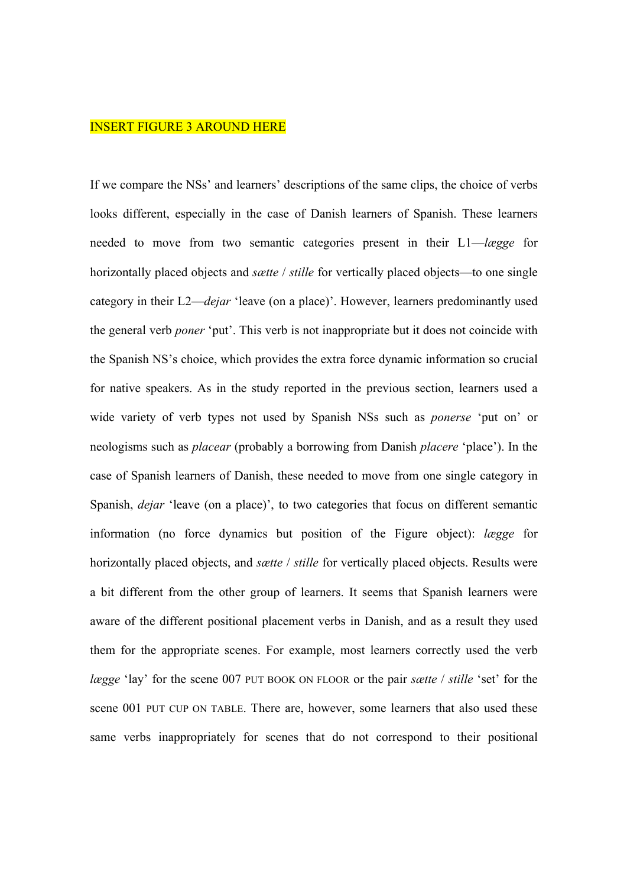## INSERT FIGURE 3 AROUND HERE

If we compare the NSs' and learners' descriptions of the same clips, the choice of verbs looks different, especially in the case of Danish learners of Spanish. These learners needed to move from two semantic categories present in their L1—*lægge* for horizontally placed objects and *sætte* / *stille* for vertically placed objects—to one single category in their L2—*dejar* 'leave (on a place)'. However, learners predominantly used the general verb *poner* 'put'. This verb is not inappropriate but it does not coincide with the Spanish NS's choice, which provides the extra force dynamic information so crucial for native speakers. As in the study reported in the previous section, learners used a wide variety of verb types not used by Spanish NSs such as *ponerse* 'put on' or neologisms such as *placear* (probably a borrowing from Danish *placere* 'place'). In the case of Spanish learners of Danish, these needed to move from one single category in Spanish, *dejar* 'leave (on a place)', to two categories that focus on different semantic information (no force dynamics but position of the Figure object): *lægge* for horizontally placed objects, and *sætte* / *stille* for vertically placed objects. Results were a bit different from the other group of learners. It seems that Spanish learners were aware of the different positional placement verbs in Danish, and as a result they used them for the appropriate scenes. For example, most learners correctly used the verb *lægge* 'lay' for the scene 007 PUT BOOK ON FLOOR or the pair *sætte* / *stille* 'set' for the scene 001 PUT CUP ON TABLE. There are, however, some learners that also used these same verbs inappropriately for scenes that do not correspond to their positional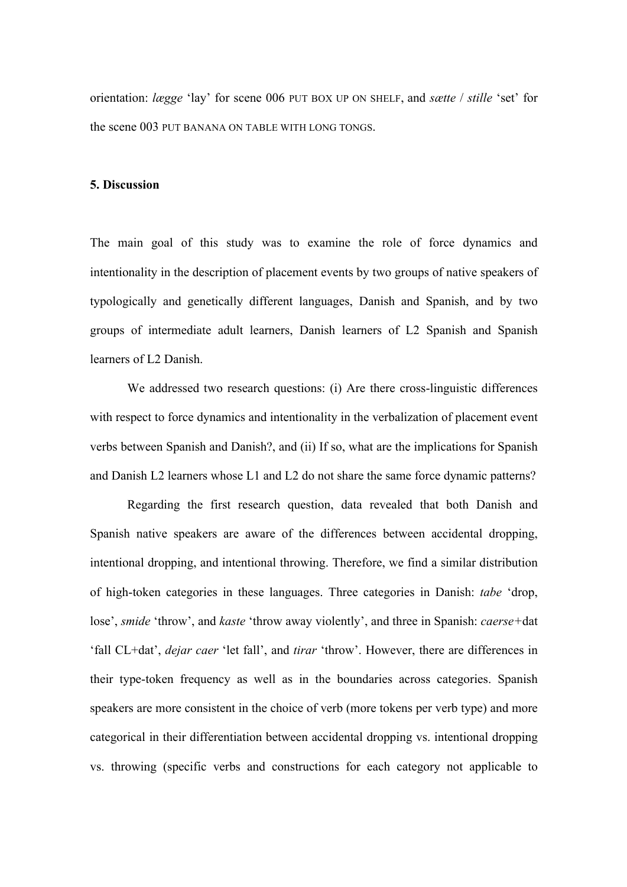orientation: *lægge* 'lay' for scene 006 PUT BOX UP ON SHELF, and *sætte* / *stille* 'set' for the scene 003 PUT BANANA ON TABLE WITH LONG TONGS.

## **5. Discussion**

The main goal of this study was to examine the role of force dynamics and intentionality in the description of placement events by two groups of native speakers of typologically and genetically different languages, Danish and Spanish, and by two groups of intermediate adult learners, Danish learners of L2 Spanish and Spanish learners of L2 Danish.

We addressed two research questions: (i) Are there cross-linguistic differences with respect to force dynamics and intentionality in the verbalization of placement event verbs between Spanish and Danish?, and (ii) If so, what are the implications for Spanish and Danish L2 learners whose L1 and L2 do not share the same force dynamic patterns?

Regarding the first research question, data revealed that both Danish and Spanish native speakers are aware of the differences between accidental dropping, intentional dropping, and intentional throwing. Therefore, we find a similar distribution of high-token categories in these languages. Three categories in Danish: *tabe* 'drop, lose', *smide* 'throw', and *kaste* 'throw away violently', and three in Spanish: *caerse+*dat 'fall CL+dat', *dejar caer* 'let fall', and *tirar* 'throw'. However, there are differences in their type-token frequency as well as in the boundaries across categories. Spanish speakers are more consistent in the choice of verb (more tokens per verb type) and more categorical in their differentiation between accidental dropping vs. intentional dropping vs. throwing (specific verbs and constructions for each category not applicable to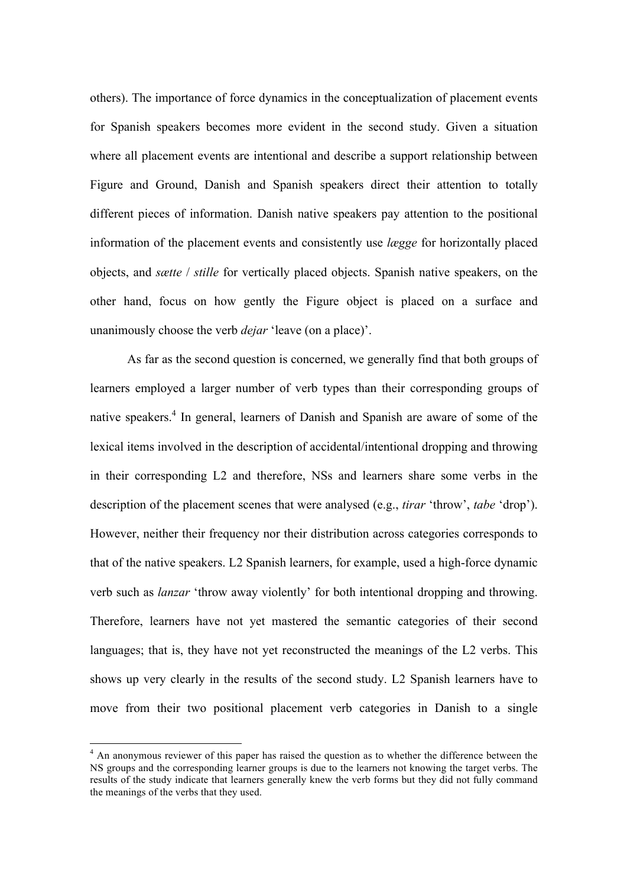others). The importance of force dynamics in the conceptualization of placement events for Spanish speakers becomes more evident in the second study. Given a situation where all placement events are intentional and describe a support relationship between Figure and Ground, Danish and Spanish speakers direct their attention to totally different pieces of information. Danish native speakers pay attention to the positional information of the placement events and consistently use *lægge* for horizontally placed objects, and *sætte* / *stille* for vertically placed objects. Spanish native speakers, on the other hand, focus on how gently the Figure object is placed on a surface and unanimously choose the verb *dejar* 'leave (on a place)'.

As far as the second question is concerned, we generally find that both groups of learners employed a larger number of verb types than their corresponding groups of native speakers. <sup>4</sup> In general, learners of Danish and Spanish are aware of some of the lexical items involved in the description of accidental/intentional dropping and throwing in their corresponding L2 and therefore, NSs and learners share some verbs in the description of the placement scenes that were analysed (e.g., *tirar* 'throw', *tabe* 'drop'). However, neither their frequency nor their distribution across categories corresponds to that of the native speakers. L2 Spanish learners, for example, used a high-force dynamic verb such as *lanzar* 'throw away violently' for both intentional dropping and throwing. Therefore, learners have not yet mastered the semantic categories of their second languages; that is, they have not yet reconstructed the meanings of the L2 verbs. This shows up very clearly in the results of the second study. L2 Spanish learners have to move from their two positional placement verb categories in Danish to a single

<sup>&</sup>lt;sup>4</sup> An anonymous reviewer of this paper has raised the question as to whether the difference between the NS groups and the corresponding learner groups is due to the learners not knowing the target verbs. The results of the study indicate that learners generally knew the verb forms but they did not fully command the meanings of the verbs that they used.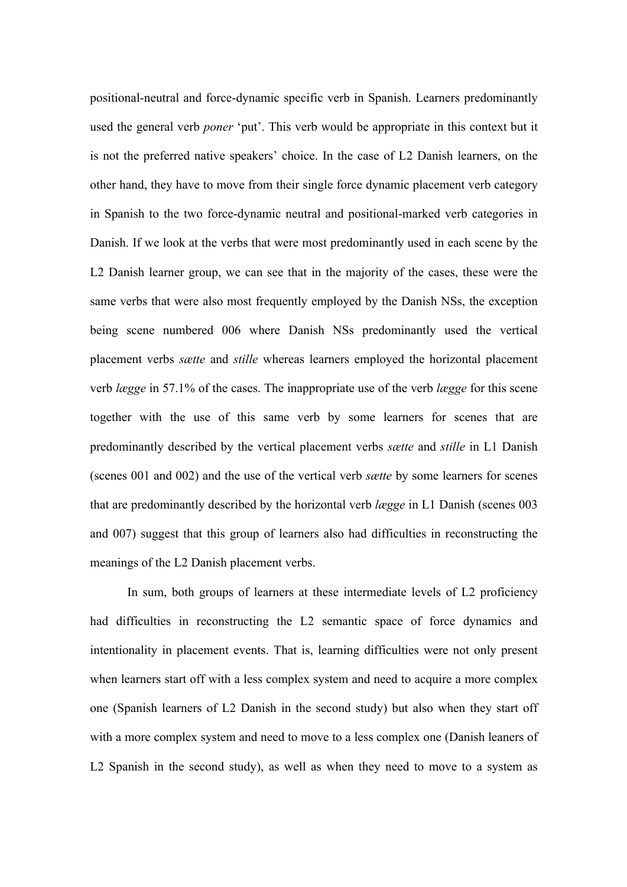positional-neutral and force-dynamic specific verb in Spanish. Learners predominantly used the general verb *poner* 'put'. This verb would be appropriate in this context but it is not the preferred native speakers' choice. In the case of L2 Danish learners, on the other hand, they have to move from their single force dynamic placement verb category in Spanish to the two force-dynamic neutral and positional-marked verb categories in Danish. If we look at the verbs that were most predominantly used in each scene by the L2 Danish learner group, we can see that in the majority of the cases, these were the same verbs that were also most frequently employed by the Danish NSs, the exception being scene numbered 006 where Danish NSs predominantly used the vertical placement verbs *sætte* and *stille* whereas learners employed the horizontal placement verb *lægge* in 57.1% of the cases. The inappropriate use of the verb *lægge* for this scene together with the use of this same verb by some learners for scenes that are predominantly described by the vertical placement verbs *sætte* and *stille* in L1 Danish (scenes 001 and 002) and the use of the vertical verb *sætte* by some learners for scenes that are predominantly described by the horizontal verb *lægge* in L1 Danish (scenes 003 and 007) suggest that this group of learners also had difficulties in reconstructing the meanings of the L2 Danish placement verbs.

In sum, both groups of learners at these intermediate levels of L2 proficiency had difficulties in reconstructing the L2 semantic space of force dynamics and intentionality in placement events. That is, learning difficulties were not only present when learners start off with a less complex system and need to acquire a more complex one (Spanish learners of L2 Danish in the second study) but also when they start off with a more complex system and need to move to a less complex one (Danish leaners of L2 Spanish in the second study), as well as when they need to move to a system as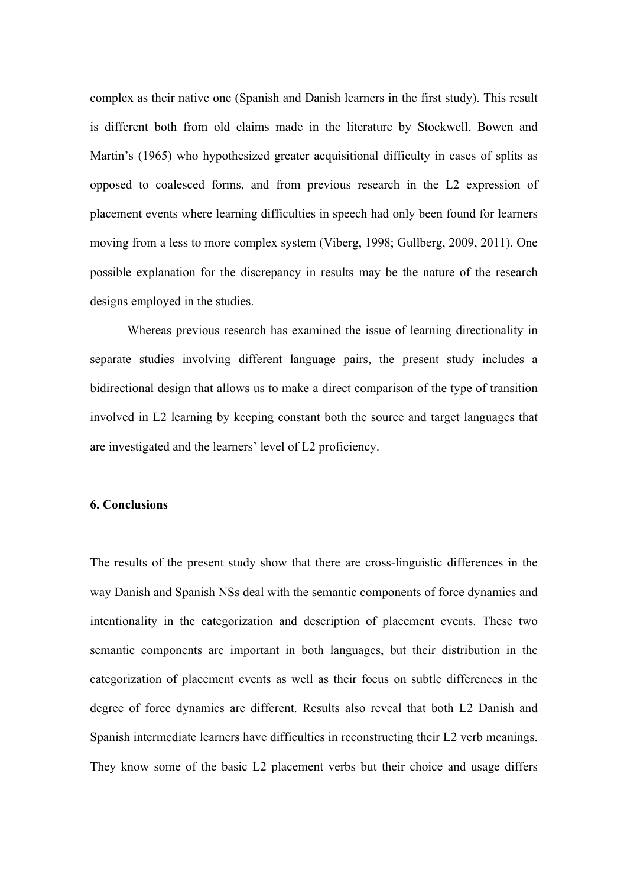complex as their native one (Spanish and Danish learners in the first study). This result is different both from old claims made in the literature by Stockwell, Bowen and Martin's (1965) who hypothesized greater acquisitional difficulty in cases of splits as opposed to coalesced forms, and from previous research in the L2 expression of placement events where learning difficulties in speech had only been found for learners moving from a less to more complex system (Viberg, 1998; Gullberg, 2009, 2011). One possible explanation for the discrepancy in results may be the nature of the research designs employed in the studies.

Whereas previous research has examined the issue of learning directionality in separate studies involving different language pairs, the present study includes a bidirectional design that allows us to make a direct comparison of the type of transition involved in L2 learning by keeping constant both the source and target languages that are investigated and the learners' level of L2 proficiency.

## **6. Conclusions**

The results of the present study show that there are cross-linguistic differences in the way Danish and Spanish NSs deal with the semantic components of force dynamics and intentionality in the categorization and description of placement events. These two semantic components are important in both languages, but their distribution in the categorization of placement events as well as their focus on subtle differences in the degree of force dynamics are different. Results also reveal that both L2 Danish and Spanish intermediate learners have difficulties in reconstructing their L2 verb meanings. They know some of the basic L2 placement verbs but their choice and usage differs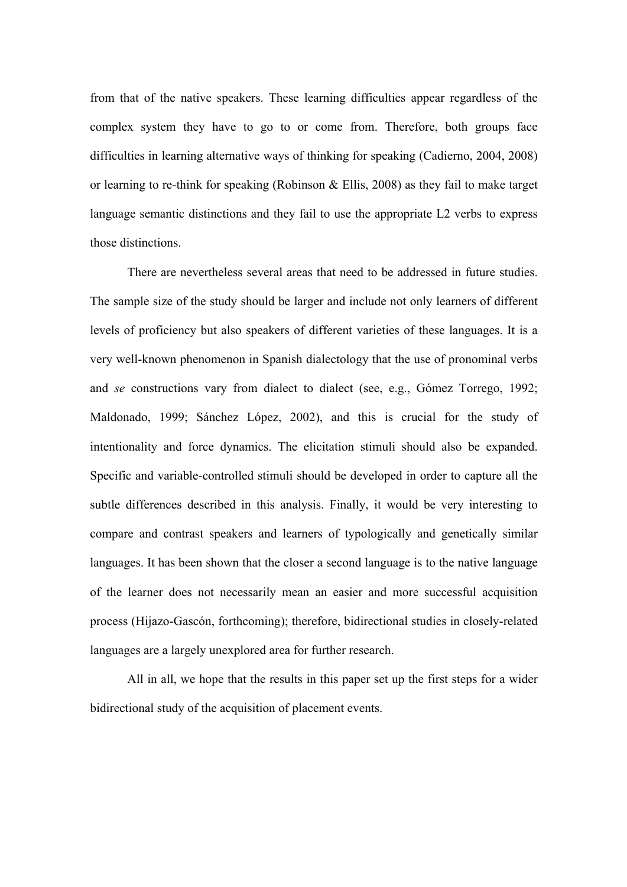from that of the native speakers. These learning difficulties appear regardless of the complex system they have to go to or come from. Therefore, both groups face difficulties in learning alternative ways of thinking for speaking (Cadierno, 2004, 2008) or learning to re-think for speaking (Robinson & Ellis, 2008) as they fail to make target language semantic distinctions and they fail to use the appropriate L2 verbs to express those distinctions.

There are nevertheless several areas that need to be addressed in future studies. The sample size of the study should be larger and include not only learners of different levels of proficiency but also speakers of different varieties of these languages. It is a very well-known phenomenon in Spanish dialectology that the use of pronominal verbs and *se* constructions vary from dialect to dialect (see, e.g., Gómez Torrego, 1992; Maldonado, 1999; Sánchez López, 2002), and this is crucial for the study of intentionality and force dynamics. The elicitation stimuli should also be expanded. Specific and variable-controlled stimuli should be developed in order to capture all the subtle differences described in this analysis. Finally, it would be very interesting to compare and contrast speakers and learners of typologically and genetically similar languages. It has been shown that the closer a second language is to the native language of the learner does not necessarily mean an easier and more successful acquisition process (Hijazo-Gascón, forthcoming); therefore, bidirectional studies in closely-related languages are a largely unexplored area for further research.

All in all, we hope that the results in this paper set up the first steps for a wider bidirectional study of the acquisition of placement events.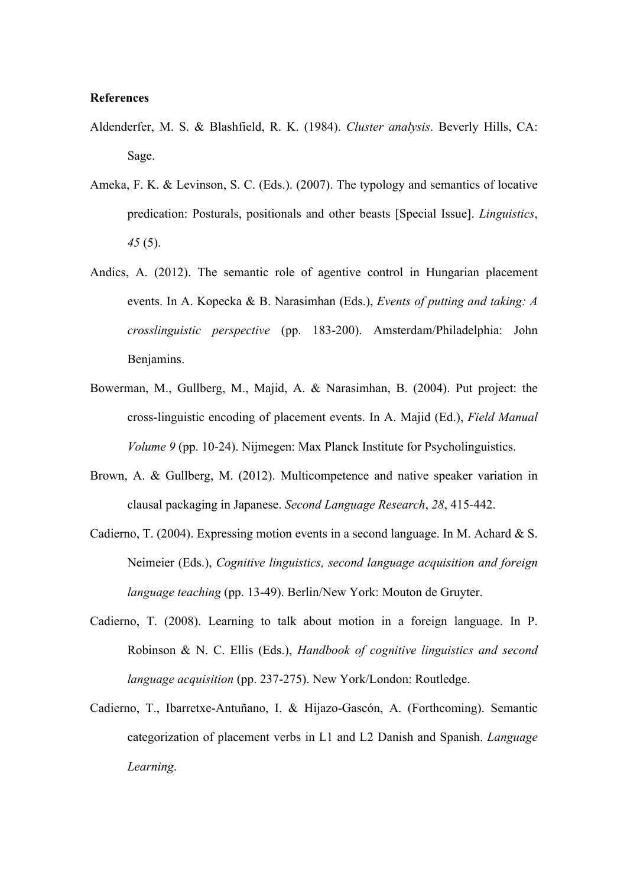## **References**

- Aldenderfer, M. S. & Blashfield, R. K. (1984). *Cluster analysis*. Beverly Hills, CA: Sage.
- Ameka, F. K. & Levinson, S. C. (Eds.). (2007). The typology and semantics of locative predication: Posturals, positionals and other beasts [Special Issue]. *Linguistics*, *45* (5).
- Andics, A. (2012). The semantic role of agentive control in Hungarian placement events. In A. Kopecka & B. Narasimhan (Eds.), *Events of putting and taking: A crosslinguistic perspective* (pp. 183-200). Amsterdam/Philadelphia: John Benjamins.
- Bowerman, M., Gullberg, M., Majid, A. & Narasimhan, B. (2004). Put project: the cross-linguistic encoding of placement events. In A. Majid (Ed.), *Field Manual Volume 9* (pp. 10-24). Nijmegen: Max Planck Institute for Psycholinguistics.
- Brown, A. & Gullberg, M. (2012). Multicompetence and native speaker variation in clausal packaging in Japanese. *Second Language Research*, *28*, 415-442.
- Cadierno, T. (2004). Expressing motion events in a second language. In M. Achard & S. Neimeier (Eds.), *Cognitive linguistics, second language acquisition and foreign language teaching* (pp. 13-49). Berlin/New York: Mouton de Gruyter.
- Cadierno, T. (2008). Learning to talk about motion in a foreign language. In P. Robinson & N. C. Ellis (Eds.), *Handbook of cognitive linguistics and second language acquisition* (pp. 237-275). New York/London: Routledge.
- Cadierno, T., Ibarretxe-Antuñano, I. & Hijazo-Gascón, A. (Forthcoming). Semantic categorization of placement verbs in L1 and L2 Danish and Spanish. *Language Learning*.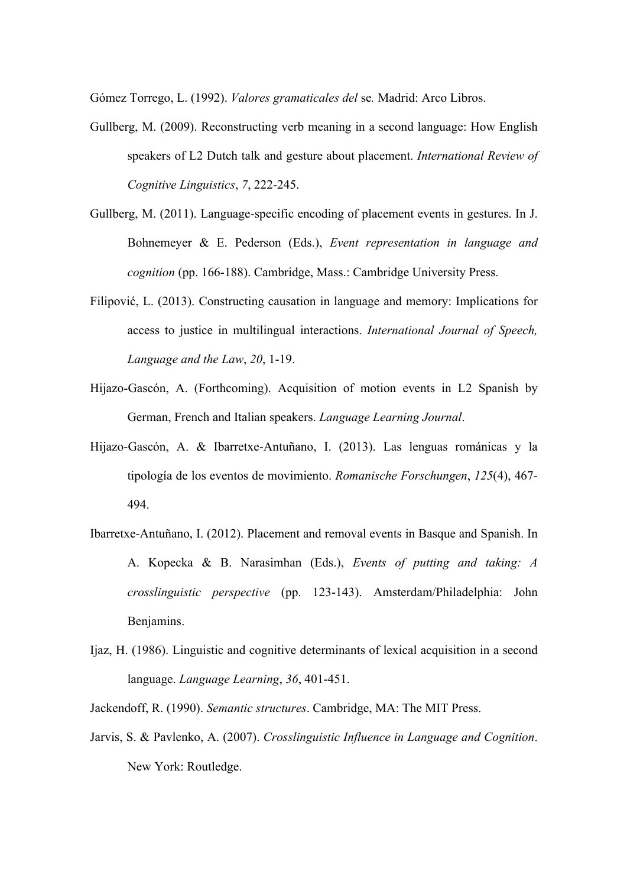Gómez Torrego, L. (1992). *Valores gramaticales del* se*.* Madrid: Arco Libros.

- Gullberg, M. (2009). Reconstructing verb meaning in a second language: How English speakers of L2 Dutch talk and gesture about placement. *International Review of Cognitive Linguistics*, *7*, 222-245.
- Gullberg, M. (2011). Language-specific encoding of placement events in gestures. In J. Bohnemeyer & E. Pederson (Eds.), *Event representation in language and cognition* (pp. 166-188). Cambridge, Mass.: Cambridge University Press.
- Filipović, L. (2013). Constructing causation in language and memory: Implications for access to justice in multilingual interactions. *International Journal of Speech, Language and the Law*, *20*, 1-19.
- Hijazo-Gascón, A. (Forthcoming). Acquisition of motion events in L2 Spanish by German, French and Italian speakers. *Language Learning Journal*.
- Hijazo-Gascón, A. & Ibarretxe-Antuñano, I. (2013). Las lenguas románicas y la tipología de los eventos de movimiento. *Romanische Forschungen*, *125*(4), 467- 494.
- Ibarretxe-Antuñano, I. (2012). Placement and removal events in Basque and Spanish. In A. Kopecka & B. Narasimhan (Eds.), *Events of putting and taking: A crosslinguistic perspective* (pp. 123-143). Amsterdam/Philadelphia: John Benjamins.
- Ijaz, H. (1986). Linguistic and cognitive determinants of lexical acquisition in a second language. *Language Learning*, *36*, 401-451.
- Jackendoff, R. (1990). *Semantic structures*. Cambridge, MA: The MIT Press.
- Jarvis, S. & Pavlenko, A. (2007). *Crosslinguistic Influence in Language and Cognition*. New York: Routledge.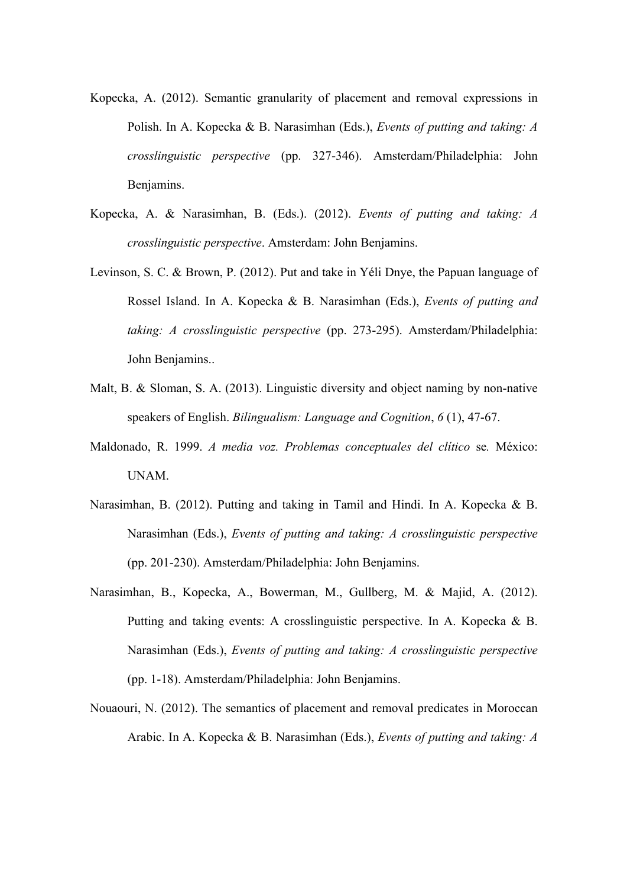- Kopecka, A. (2012). Semantic granularity of placement and removal expressions in Polish. In A. Kopecka & B. Narasimhan (Eds.), *Events of putting and taking: A crosslinguistic perspective* (pp. 327-346). Amsterdam/Philadelphia: John Benjamins.
- Kopecka, A. & Narasimhan, B. (Eds.). (2012). *Events of putting and taking: A crosslinguistic perspective*. Amsterdam: John Benjamins.
- Levinson, S. C. & Brown, P. (2012). Put and take in Yéli Dnye, the Papuan language of Rossel Island. In A. Kopecka & B. Narasimhan (Eds.), *Events of putting and taking: A crosslinguistic perspective* (pp. 273-295). Amsterdam/Philadelphia: John Benjamins..
- Malt, B. & Sloman, S. A. (2013). Linguistic diversity and object naming by non-native speakers of English. *Bilingualism: Language and Cognition*, *6* (1), 47-67.
- Maldonado, R. 1999. *A media voz. Problemas conceptuales del clítico* se*.* México: UNAM.
- Narasimhan, B. (2012). Putting and taking in Tamil and Hindi. In A. Kopecka & B. Narasimhan (Eds.), *Events of putting and taking: A crosslinguistic perspective* (pp. 201-230). Amsterdam/Philadelphia: John Benjamins.
- Narasimhan, B., Kopecka, A., Bowerman, M., Gullberg, M. & Majid, A. (2012). Putting and taking events: A crosslinguistic perspective. In A. Kopecka & B. Narasimhan (Eds.), *Events of putting and taking: A crosslinguistic perspective* (pp. 1-18). Amsterdam/Philadelphia: John Benjamins.
- Nouaouri, N. (2012). The semantics of placement and removal predicates in Moroccan Arabic. In A. Kopecka & B. Narasimhan (Eds.), *Events of putting and taking: A*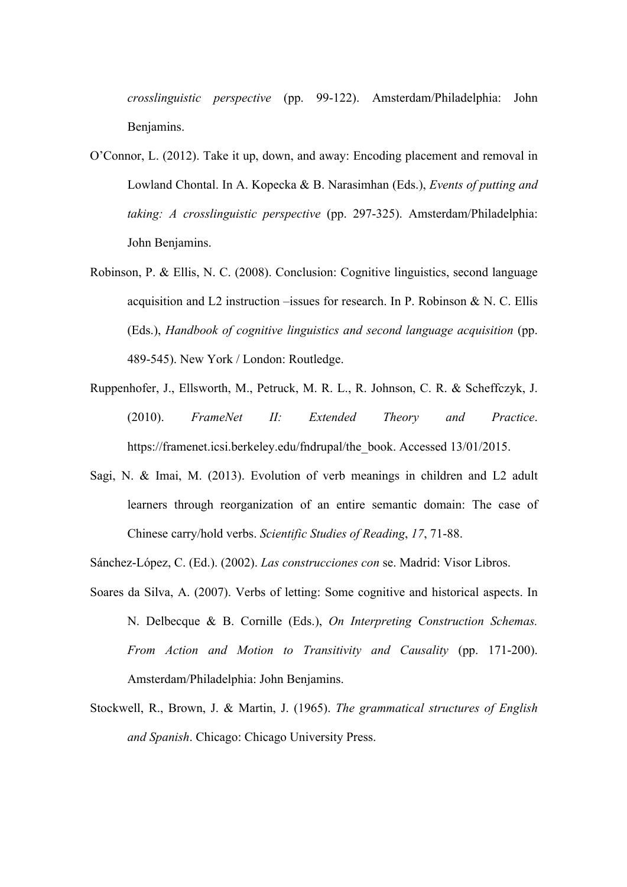*crosslinguistic perspective* (pp. 99-122). Amsterdam/Philadelphia: John Benjamins.

- O'Connor, L. (2012). Take it up, down, and away: Encoding placement and removal in Lowland Chontal. In A. Kopecka & B. Narasimhan (Eds.), *Events of putting and taking: A crosslinguistic perspective* (pp. 297-325). Amsterdam/Philadelphia: John Benjamins.
- Robinson, P. & Ellis, N. C. (2008). Conclusion: Cognitive linguistics, second language acquisition and L2 instruction –issues for research. In P. Robinson  $\& N$ . C. Ellis (Eds.), *Handbook of cognitive linguistics and second language acquisition* (pp. 489-545). New York / London: Routledge.
- Ruppenhofer, J., Ellsworth, M., Petruck, M. R. L., R. Johnson, C. R. & Scheffczyk, J. (2010). *FrameNet II: Extended Theory and Practice*. https://framenet.icsi.berkeley.edu/fndrupal/the\_book. Accessed 13/01/2015.
- Sagi, N. & Imai, M. (2013). Evolution of verb meanings in children and L2 adult learners through reorganization of an entire semantic domain: The case of Chinese carry/hold verbs. *Scientific Studies of Reading*, *17*, 71-88.
- Sánchez-López, C. (Ed.). (2002). *Las construcciones con* se. Madrid: Visor Libros.
- Soares da Silva, A. (2007). Verbs of letting: Some cognitive and historical aspects. In N. Delbecque & B. Cornille (Eds.), *On Interpreting Construction Schemas. From Action and Motion to Transitivity and Causality* (pp. 171-200). Amsterdam/Philadelphia: John Benjamins.
- Stockwell, R., Brown, J. & Martin, J. (1965). *The grammatical structures of English and Spanish*. Chicago: Chicago University Press.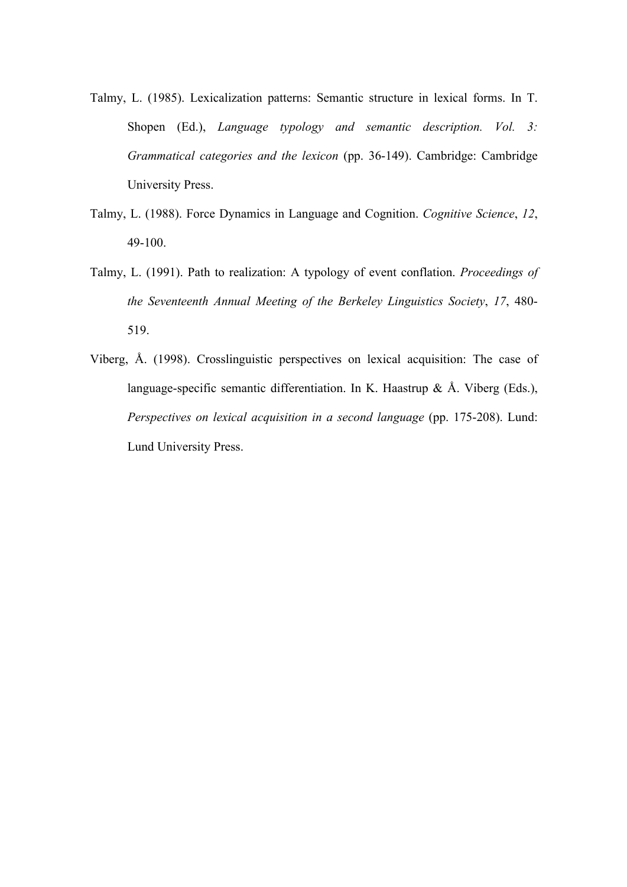- Talmy, L. (1985). Lexicalization patterns: Semantic structure in lexical forms. In T. Shopen (Ed.), *Language typology and semantic description. Vol. 3: Grammatical categories and the lexicon* (pp. 36-149). Cambridge: Cambridge University Press.
- Talmy, L. (1988). Force Dynamics in Language and Cognition. *Cognitive Science*, *12*, 49-100.
- Talmy, L. (1991). Path to realization: A typology of event conflation. *Proceedings of the Seventeenth Annual Meeting of the Berkeley Linguistics Society*, *17*, 480- 519.
- Viberg, Å. (1998). Crosslinguistic perspectives on lexical acquisition: The case of language-specific semantic differentiation. In K. Haastrup & Å. Viberg (Eds.), *Perspectives on lexical acquisition in a second language* (pp. 175-208). Lund: Lund University Press.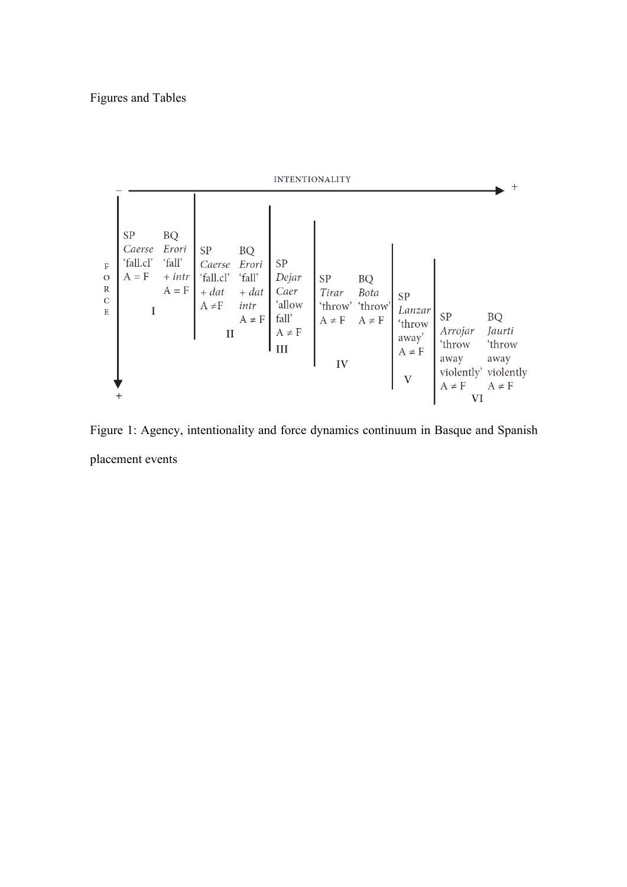# Figures and Tables



Figure 1: Agency, intentionality and force dynamics continuum in Basque and Spanish placement events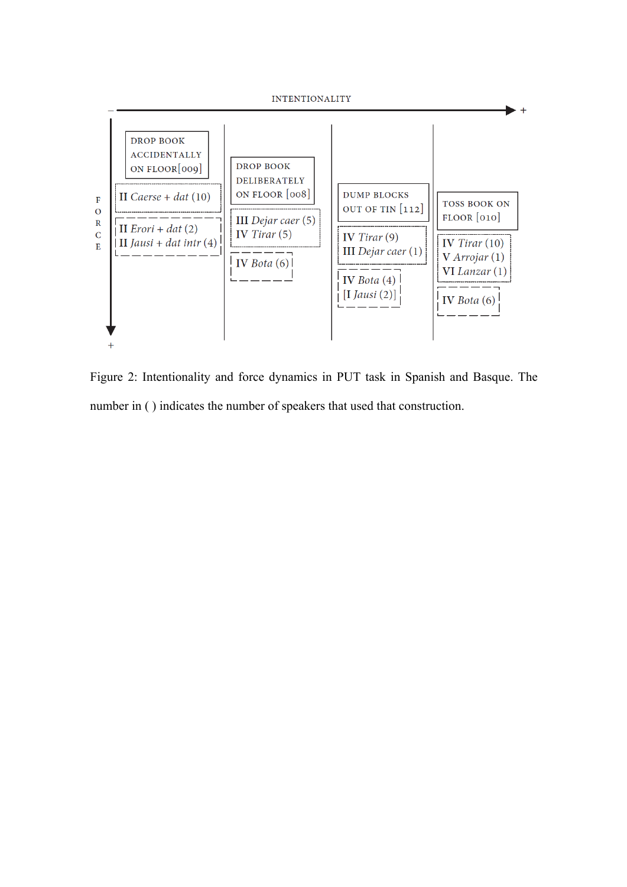

Figure 2: Intentionality and force dynamics in PUT task in Spanish and Basque. The number in ( ) indicates the number of speakers that used that construction.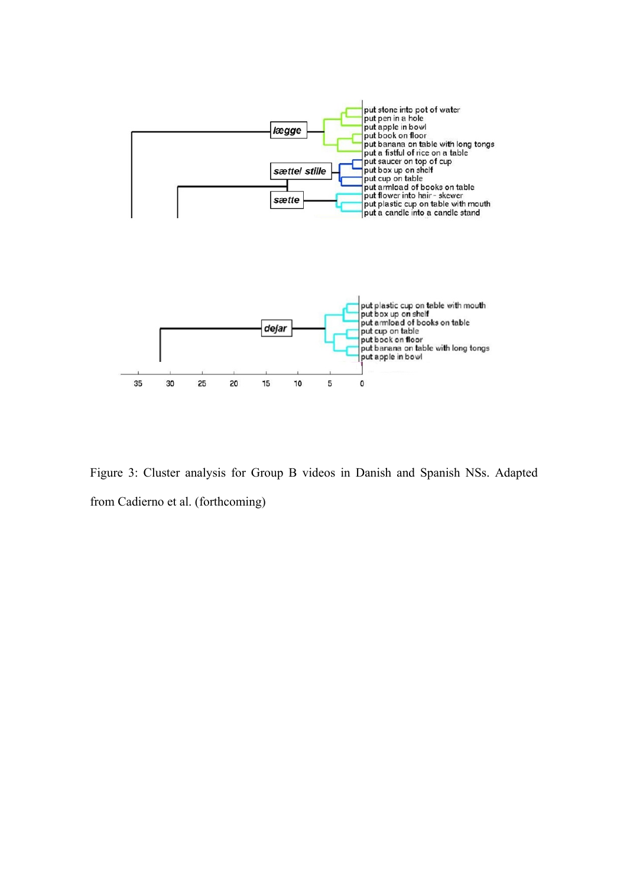

Figure 3: Cluster analysis for Group B videos in Danish and Spanish NSs. Adapted from Cadierno et al. (forthcoming)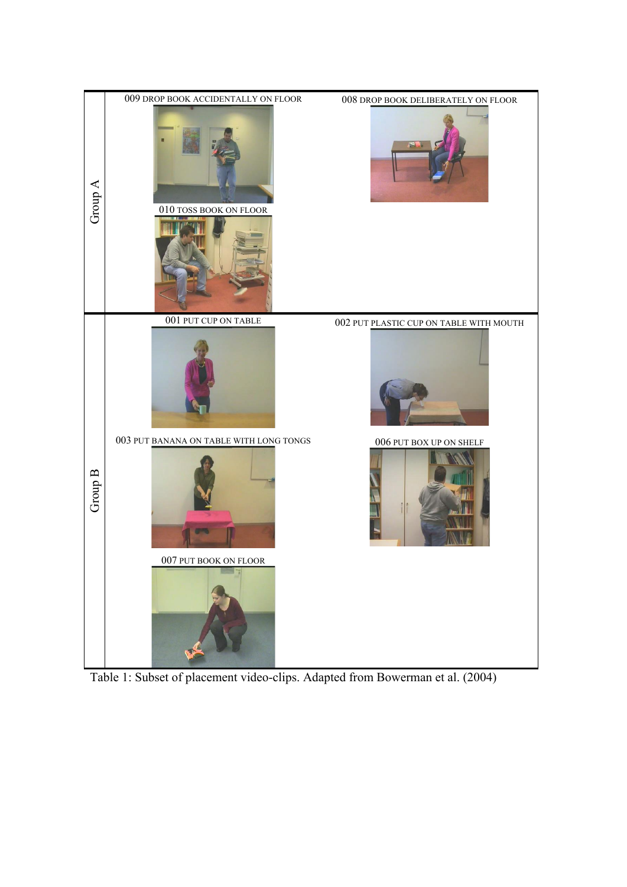

Table 1: Subset of placement video-clips. Adapted from Bowerman et al. (2004)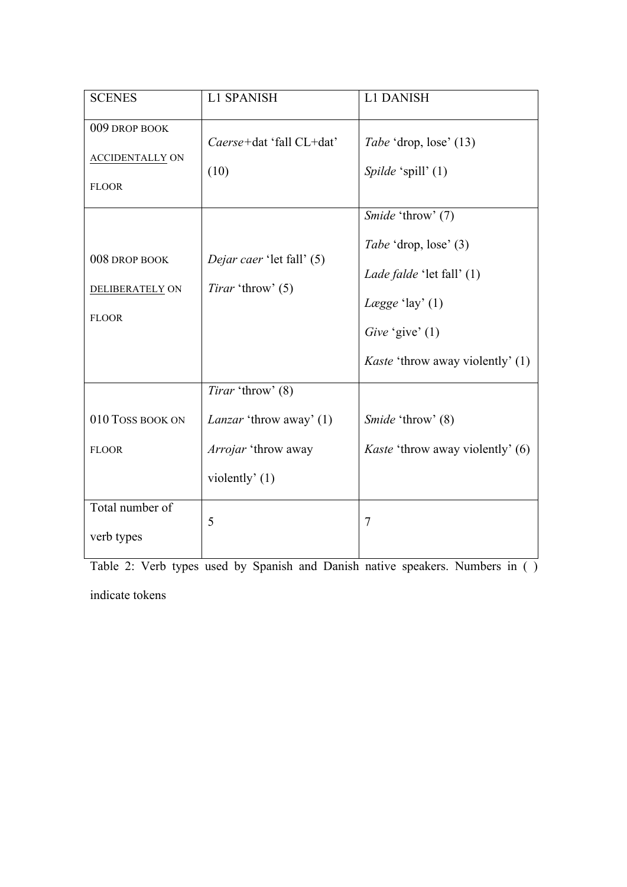| <b>SCENES</b>                                           | <b>L1 SPANISH</b>                                                                              | <b>L1 DANISH</b>                                                                                                                                             |
|---------------------------------------------------------|------------------------------------------------------------------------------------------------|--------------------------------------------------------------------------------------------------------------------------------------------------------------|
| 009 DROP BOOK<br><b>ACCIDENTALLY ON</b><br><b>FLOOR</b> | Caerse+dat 'fall CL+dat'<br>(10)                                                               | Tabe 'drop, lose' (13)<br>Spilde 'spill' (1)                                                                                                                 |
| 008 DROP BOOK<br>DELIBERATELY ON<br><b>FLOOR</b>        | Dejar caer 'let fall' (5)<br>Tirar 'throw' (5)                                                 | Smide 'throw' (7)<br>Tabe 'drop, lose' (3)<br>Lade falde 'let fall' (1)<br>Lægge 'lay' $(1)$<br>Give 'give' $(1)$<br><i>Kaste</i> 'throw away violently' (1) |
| 010 TOSS BOOK ON<br><b>FLOOR</b><br>Total number of     | Tirar 'throw' (8)<br><i>Lanzar</i> 'throw away' (1)<br>Arrojar 'throw away<br>violently' $(1)$ | Smide 'throw' (8)<br><i>Kaste</i> 'throw away violently' (6)                                                                                                 |
| verb types                                              | 5                                                                                              | $\overline{7}$                                                                                                                                               |

Table 2: Verb types used by Spanish and Danish native speakers. Numbers in ( ) indicate tokens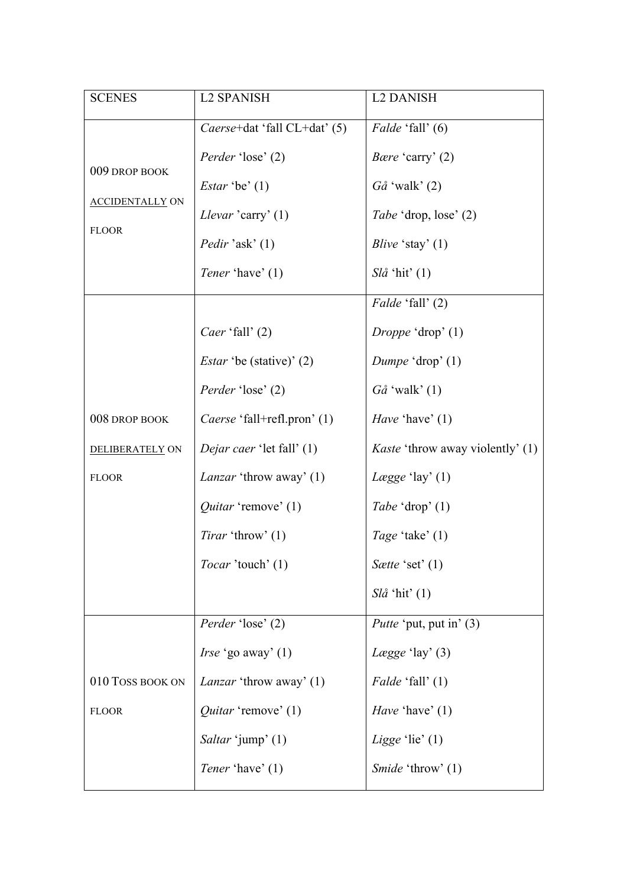| <b>SCENES</b>          | <b>L2 SPANISH</b>                 | <b>L2 DANISH</b>                        |  |
|------------------------|-----------------------------------|-----------------------------------------|--|
|                        | Caerse+dat 'fall CL+dat' (5)      | <i>Falde</i> 'fall' (6)                 |  |
| 009 DROP BOOK          | Perder 'lose' (2)                 | <i>Bære</i> 'carry' $(2)$               |  |
| <b>ACCIDENTALLY ON</b> | <i>Estar</i> 'be' $(1)$           | $G\aa$ 'walk' (2)                       |  |
| <b>FLOOR</b>           | Llevar 'carry' $(1)$              | Tabe 'drop, lose' (2)                   |  |
|                        | <i>Pedir</i> 'ask' (1)            | <i>Blive</i> 'stay' $(1)$               |  |
|                        | <i>Tener</i> 'have' (1)           | $Sl\aa$ 'hit' (1)                       |  |
|                        |                                   | Falde 'fall' (2)                        |  |
|                        | Caer 'fall' $(2)$                 | Droppe 'drop' $(1)$                     |  |
|                        | <i>Estar</i> 'be (stative)' $(2)$ | Dumpe 'drop' $(1)$                      |  |
|                        | Perder 'lose' (2)                 | $G\aa$ 'walk' (1)                       |  |
| 008 DROP BOOK          | Caerse 'fall+refl.pron' (1)       | Have 'have' $(1)$                       |  |
| DELIBERATELY ON        | Dejar caer 'let fall' (1)         | <i>Kaste</i> 'throw away violently' (1) |  |
| <b>FLOOR</b>           | <i>Lanzar</i> 'throw away' (1)    | Lægge 'lay' $(1)$                       |  |
|                        | Quitar 'remove' (1)               | Tabe 'drop' $(1)$                       |  |
|                        | Tirar 'throw' (1)                 | Tage 'take' (1)                         |  |
|                        | Tocar 'touch' (1)                 | Sætte 'set' (1)                         |  |
|                        |                                   | $Sl\aa$ 'hit' (1)                       |  |
|                        | Perder 'lose' (2)                 | Putte 'put, put in' (3)                 |  |
|                        | <i>Irse</i> 'go away' $(1)$       | Lægge 'lay' $(3)$                       |  |
| 010 TOSS BOOK ON       | <i>Lanzar</i> 'throw away' (1)    | Falde 'fall' (1)                        |  |
| <b>FLOOR</b>           | Quitar 'remove' (1)               | Have 'have' $(1)$                       |  |
|                        | <i>Saltar</i> 'jump' (1)          | Ligge 'lie' $(1)$                       |  |
|                        | Tener 'have' (1)                  | <i>Smide</i> 'throw' $(1)$              |  |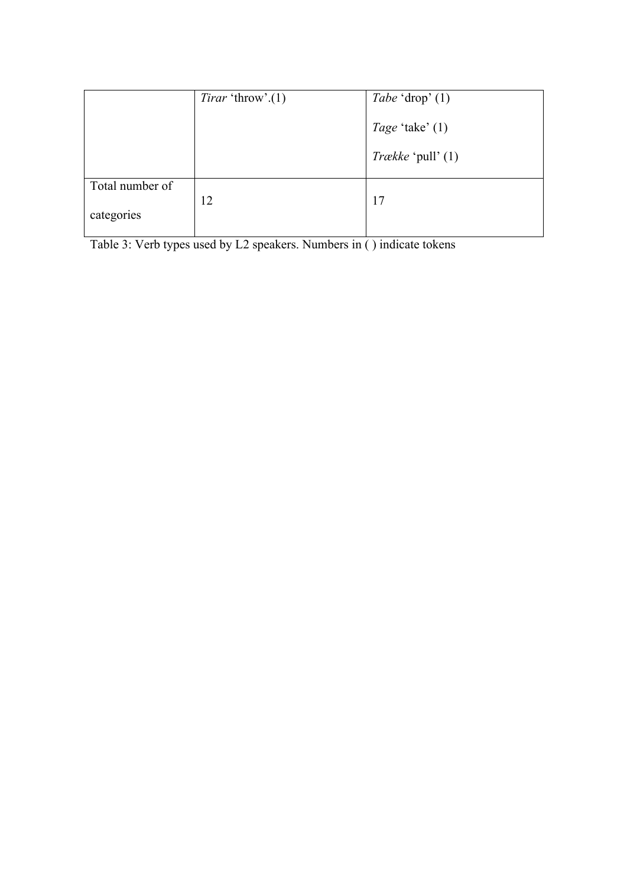|                 | Tirar 'throw'. $(1)$ | Tabe 'drop' $(1)$        |
|-----------------|----------------------|--------------------------|
|                 |                      | Tage 'take' (1)          |
|                 |                      | <i>Trække</i> 'pull' (1) |
| Total number of | 12                   | 17                       |
| categories      |                      |                          |

Table 3: Verb types used by L2 speakers. Numbers in () indicate tokens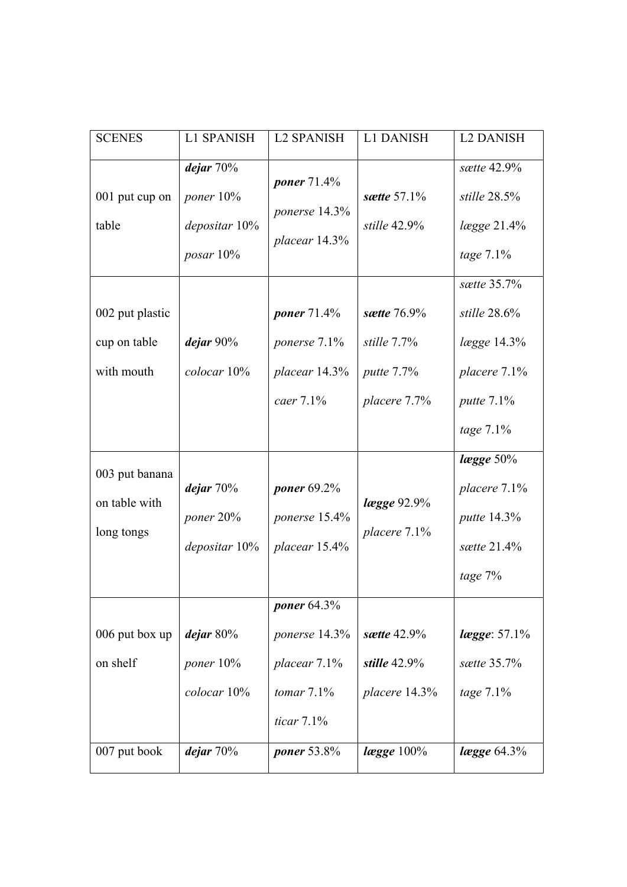| <b>SCENES</b>                                                            | <b>L1 SPANISH</b>                                                                   | <b>L2 SPANISH</b>                                                                                           | <b>L1 DANISH</b>                                                              | <b>L2 DANISH</b>                                                                                                                          |
|--------------------------------------------------------------------------|-------------------------------------------------------------------------------------|-------------------------------------------------------------------------------------------------------------|-------------------------------------------------------------------------------|-------------------------------------------------------------------------------------------------------------------------------------------|
| 001 put cup on<br>table<br>002 put plastic<br>cup on table<br>with mouth | dejar 70%<br>poner $10\%$<br>depositar 10%<br>posar 10%<br>dejar 90%<br>colocar 10% | <i>poner</i> 71.4%<br>ponerse 14.3%<br>placear 14.3%<br><i>poner</i> 71.4%<br>ponerse 7.1%<br>placear 14.3% | sætte $57.1\%$<br>stille 42.9%<br>sætte 76.9%<br>stille 7.7%<br>putte $7.7\%$ | sætte $42.9%$<br>stille $28.5\%$<br>$\text{degree } 21.4\%$<br>tage $7.1\%$<br>sætte 35.7%<br>stille 28.6%<br>legge 14.3%<br>placere 7.1% |
| 003 put banana<br>on table with<br>long tongs                            | dejar $70%$<br>poner 20%                                                            | caer 7.1%<br><i>poner</i> 69.2%<br>ponerse 15.4%                                                            | placere 7.7%<br>lægge $92.9\%$<br>placere $7.1\%$                             | putte $7.1\%$<br>tage $7.1\%$<br>lægge $50%$<br>placere 7.1%<br><i>putte</i> 14.3%                                                        |
| 006 put box up<br>on shelf                                               | depositar 10%<br>dejar $80%$<br>poner $10\%$<br>color 10%                           | placear 15.4%<br><i>poner</i> 64.3%<br>ponerse 14.3%<br>placear $7.1\%$<br>tomar $7.1\%$                    | sætte $42.9%$<br>stille $42.9\%$<br>placere 14.3%                             | sætte 21.4%<br>tage $7\%$<br>$\textit{degree}: 57.1\%$<br>sætte 35.7%<br>tage $7.1\%$                                                     |
| 007 put book                                                             | dejar $70%$                                                                         | ticar $7.1\%$<br><i>poner</i> 53.8%                                                                         | $degree 100%$                                                                 | lægge $64.3\%$                                                                                                                            |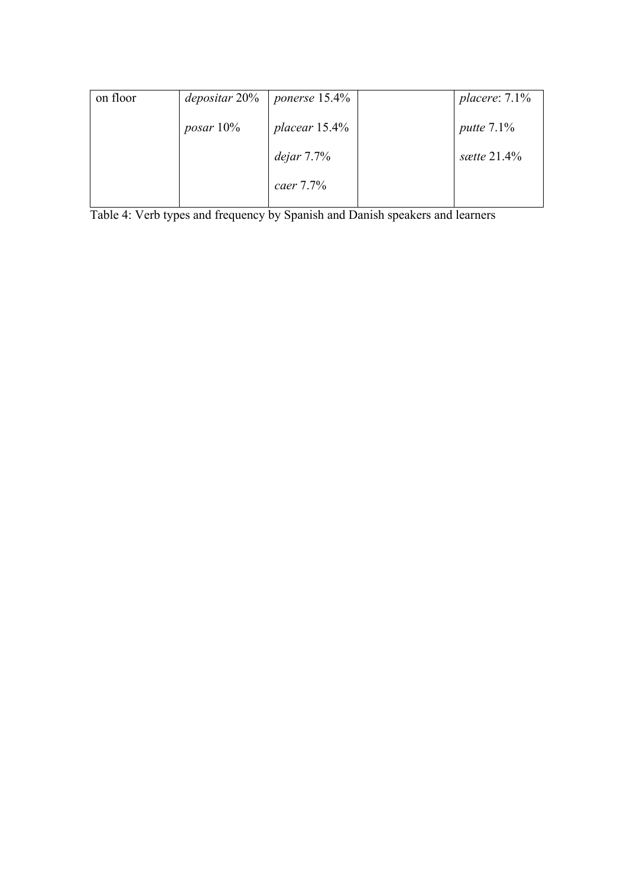| on floor | depositar 20% | ponerse $15.4\%$ | placere: $7.1\%$ |
|----------|---------------|------------------|------------------|
|          | posar $10\%$  | placear $15.4\%$ | putte $7.1\%$    |
|          |               | dejar 7.7%       | sætte $21.4\%$   |
|          |               | caer $7.7\%$     |                  |

Table 4: Verb types and frequency by Spanish and Danish speakers and learners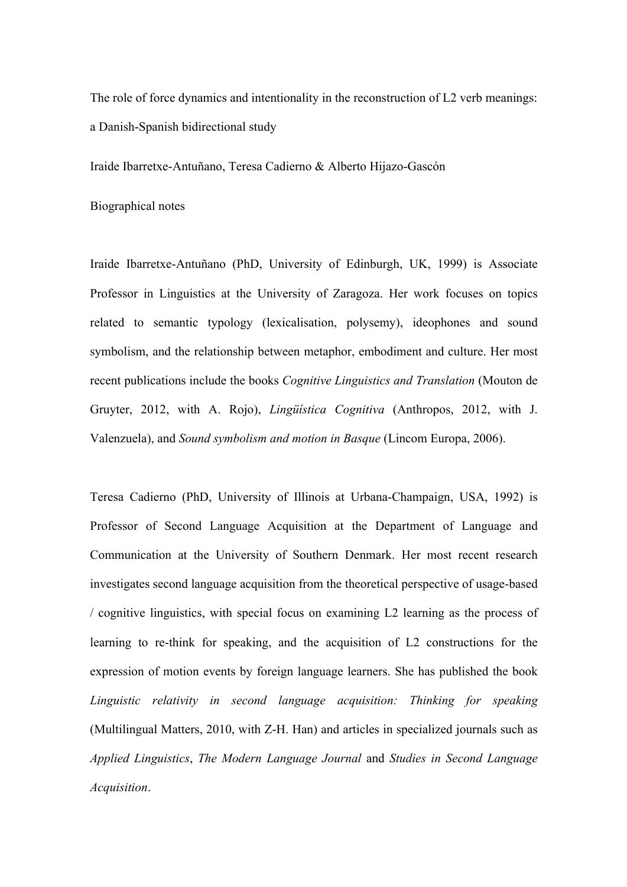The role of force dynamics and intentionality in the reconstruction of L2 verb meanings: a Danish-Spanish bidirectional study

Iraide Ibarretxe-Antuñano, Teresa Cadierno & Alberto Hijazo-Gascón

Biographical notes

Iraide Ibarretxe-Antuñano (PhD, University of Edinburgh, UK, 1999) is Associate Professor in Linguistics at the University of Zaragoza. Her work focuses on topics related to semantic typology (lexicalisation, polysemy), ideophones and sound symbolism, and the relationship between metaphor, embodiment and culture. Her most recent publications include the books *Cognitive Linguistics and Translation* (Mouton de Gruyter, 2012, with A. Rojo), *Lingüística Cognitiva* (Anthropos, 2012, with J. Valenzuela), and *Sound symbolism and motion in Basque* (Lincom Europa, 2006).

Teresa Cadierno (PhD, University of Illinois at Urbana-Champaign, USA, 1992) is Professor of Second Language Acquisition at the Department of Language and Communication at the University of Southern Denmark. Her most recent research investigates second language acquisition from the theoretical perspective of usage-based / cognitive linguistics, with special focus on examining L2 learning as the process of learning to re-think for speaking, and the acquisition of L2 constructions for the expression of motion events by foreign language learners. She has published the book *Linguistic relativity in second language acquisition: Thinking for speaking* (Multilingual Matters, 2010, with Z-H. Han) and articles in specialized journals such as *Applied Linguistics*, *The Modern Language Journal* and *Studies in Second Language Acquisition*.